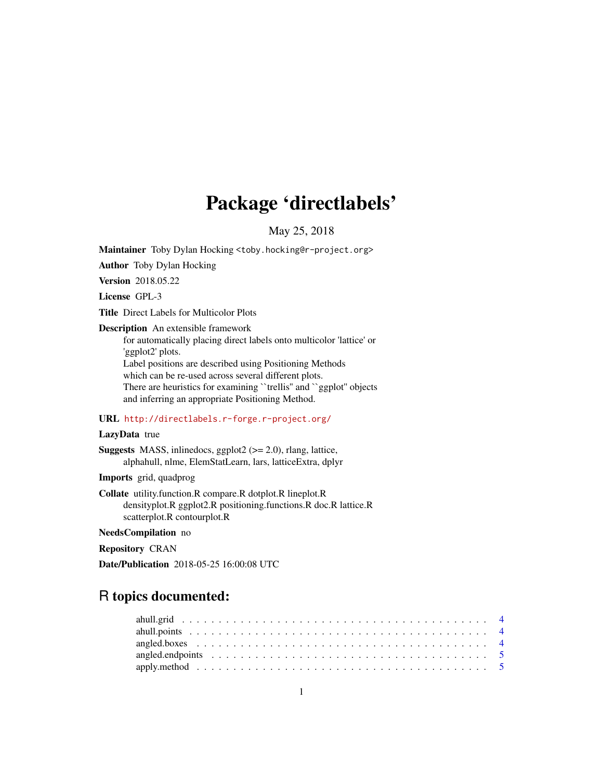# Package 'directlabels'

May 25, 2018

Maintainer Toby Dylan Hocking <toby.hocking@r-project.org>

Author Toby Dylan Hocking

Version 2018.05.22

License GPL-3

Title Direct Labels for Multicolor Plots

Description An extensible framework for automatically placing direct labels onto multicolor 'lattice' or 'ggplot2' plots. Label positions are described using Positioning Methods which can be re-used across several different plots. There are heuristics for examining "trellis" and "ggplot" objects and inferring an appropriate Positioning Method.

### URL <http://directlabels.r-forge.r-project.org/>

### LazyData true

**Suggests** MASS, inlinedocs, ggplot $2$  ( $>= 2.0$ ), rlang, lattice, alphahull, nlme, ElemStatLearn, lars, latticeExtra, dplyr

Imports grid, quadprog

Collate utility.function.R compare.R dotplot.R lineplot.R densityplot.R ggplot2.R positioning.functions.R doc.R lattice.R scatterplot.R contourplot.R

NeedsCompilation no

Repository CRAN

Date/Publication 2018-05-25 16:00:08 UTC

## R topics documented: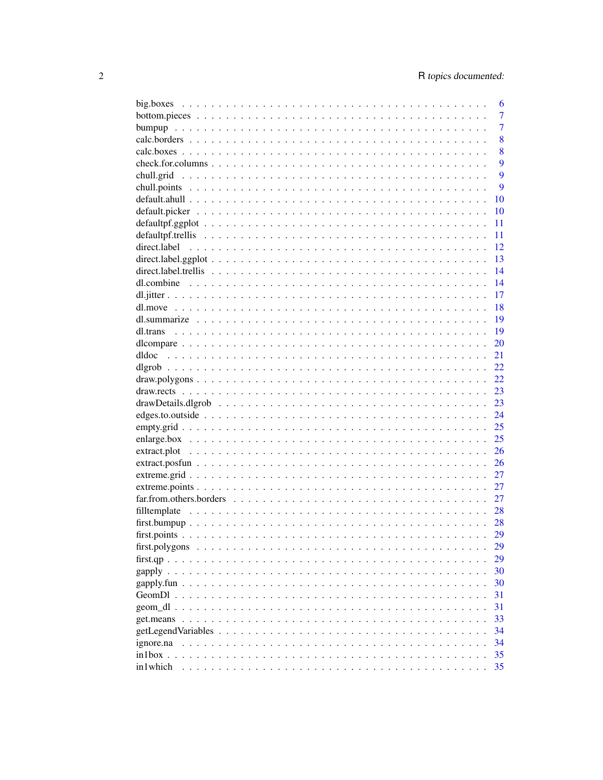|              | 6              |
|--------------|----------------|
|              | $\overline{7}$ |
|              | 7              |
|              | 8              |
|              | 8              |
|              | 9              |
|              | 9              |
|              | 9              |
|              | 10             |
|              | 10             |
|              | 11             |
|              | 11             |
| direct.label | 12             |
|              | 13             |
|              | 14             |
| dl.combine   | 14             |
|              | 17             |
|              | 18             |
|              | 19             |
|              | 19             |
|              | 20             |
| dldoc        | 21             |
|              | 22             |
|              | 22             |
|              | 23             |
|              | 23             |
|              | 24             |
|              | 25             |
|              | 25             |
|              | 26             |
|              | 26             |
|              | 27             |
|              | 27             |
|              | 27             |
|              |                |
|              | 28             |
|              | 28             |
|              | 29             |
|              | 29             |
|              | 29             |
|              | 30             |
|              | 30             |
|              | 31             |
|              | 31             |
|              | 33             |
|              | 34             |
| ignore.na    | 34             |
|              | 35             |
| in1which     | 35             |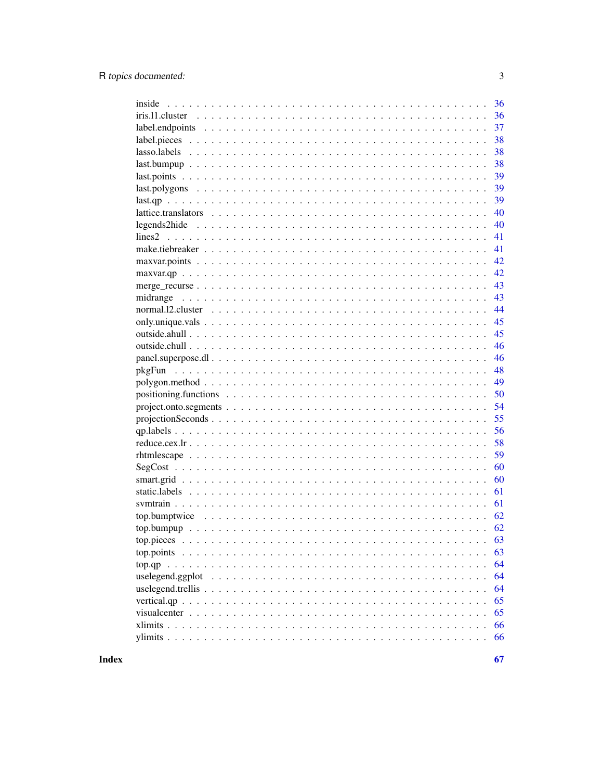|                  | 36 |
|------------------|----|
|                  | 36 |
|                  | 37 |
|                  | 38 |
|                  | 38 |
| $last.bumpup$    | 38 |
|                  | 39 |
|                  | 39 |
|                  | 39 |
|                  | 40 |
|                  | 40 |
|                  | 41 |
|                  | 41 |
|                  | 42 |
| $maxvar.qp$      | 42 |
|                  | 43 |
|                  | 43 |
|                  | 44 |
|                  | 45 |
|                  | 45 |
|                  | 46 |
|                  | 46 |
|                  | 48 |
|                  | 49 |
|                  | 50 |
|                  | 54 |
|                  | 55 |
|                  | 56 |
|                  | 58 |
|                  | 59 |
|                  | 60 |
|                  | 60 |
|                  | 61 |
|                  | 61 |
|                  | 62 |
|                  | 62 |
|                  |    |
| top.points       | 63 |
|                  | 64 |
| uselegend.ggplot | 64 |
|                  | 64 |
|                  | 65 |
|                  | 65 |
|                  | 66 |
|                  | 66 |
|                  |    |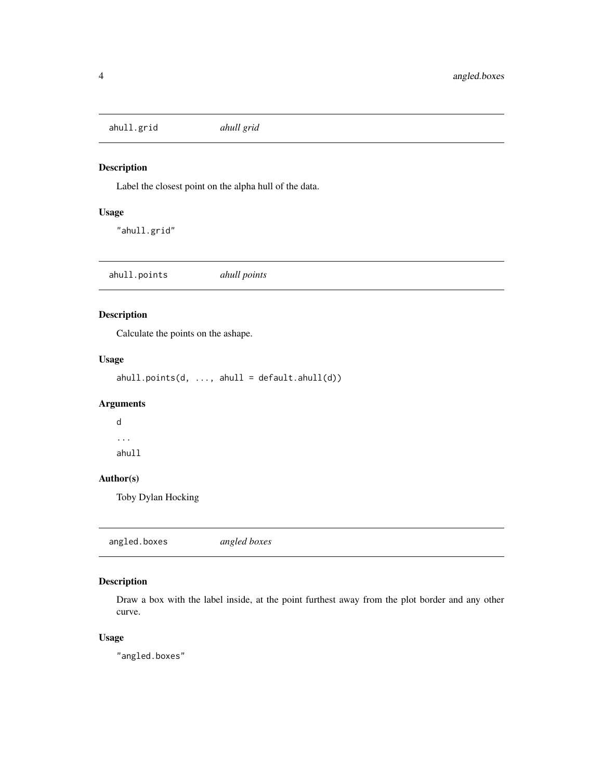<span id="page-3-0"></span>ahull.grid *ahull grid*

### Description

Label the closest point on the alpha hull of the data.

### Usage

"ahull.grid"

ahull.points *ahull points*

### Description

Calculate the points on the ashape.

### Usage

 $abull.points(d, ..., ahull = default.ahull(d))$ 

### Arguments

d ... ahull

### Author(s)

Toby Dylan Hocking

angled.boxes *angled boxes*

### Description

Draw a box with the label inside, at the point furthest away from the plot border and any other curve.

### Usage

"angled.boxes"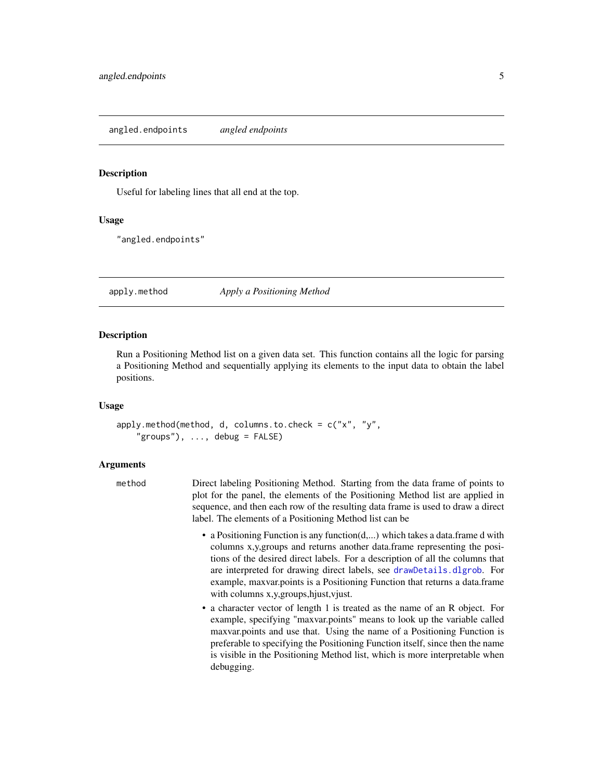<span id="page-4-0"></span>angled.endpoints *angled endpoints*

#### **Description**

Useful for labeling lines that all end at the top.

#### Usage

"angled.endpoints"

### <span id="page-4-1"></span>apply.method *Apply a Positioning Method*

#### **Description**

Run a Positioning Method list on a given data set. This function contains all the logic for parsing a Positioning Method and sequentially applying its elements to the input data to obtain the label positions.

#### Usage

apply.method(method, d, columns.to.check = c("x", "y",  $"groups")$ , ..., debug = FALSE)

#### Arguments

| method | Direct labeling Positioning Method. Starting from the data frame of points to    |
|--------|----------------------------------------------------------------------------------|
|        | plot for the panel, the elements of the Positioning Method list are applied in   |
|        | sequence, and then each row of the resulting data frame is used to draw a direct |
|        | label. The elements of a Positioning Method list can be                          |

- a Positioning Function is any function(d,...) which takes a data.frame d with columns x,y,groups and returns another data.frame representing the positions of the desired direct labels. For a description of all the columns that are interpreted for drawing direct labels, see [drawDetails.dlgrob](#page-22-1). For example, maxvar.points is a Positioning Function that returns a data.frame with columns x,y, groups, hjust, vjust.
- a character vector of length 1 is treated as the name of an R object. For example, specifying "maxvar.points" means to look up the variable called maxvar.points and use that. Using the name of a Positioning Function is preferable to specifying the Positioning Function itself, since then the name is visible in the Positioning Method list, which is more interpretable when debugging.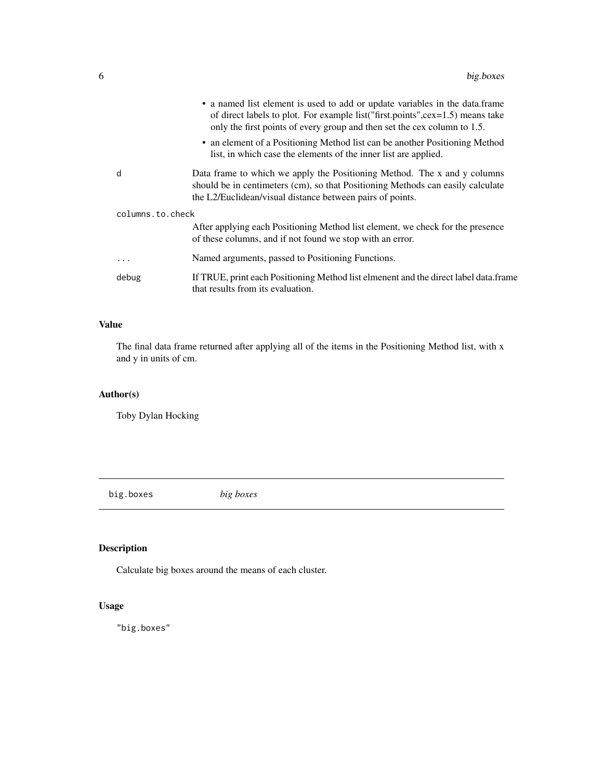<span id="page-5-0"></span>

|                  | • a named list element is used to add or update variables in the data.frame<br>of direct labels to plot. For example list ("first.points", cex=1.5) means take<br>only the first points of every group and then set the cex column to 1.5. |
|------------------|--------------------------------------------------------------------------------------------------------------------------------------------------------------------------------------------------------------------------------------------|
|                  | • an element of a Positioning Method list can be another Positioning Method<br>list, in which case the elements of the inner list are applied.                                                                                             |
| d                | Data frame to which we apply the Positioning Method. The x and y columns<br>should be in centimeters (cm), so that Positioning Methods can easily calculate<br>the L2/Euclidean/visual distance between pairs of points.                   |
| columns.to.check |                                                                                                                                                                                                                                            |
|                  | After applying each Positioning Method list element, we check for the presence<br>of these columns, and if not found we stop with an error.                                                                                                |
| .                | Named arguments, passed to Positioning Functions.                                                                                                                                                                                          |
| debug            | If TRUE, print each Positioning Method list elmenent and the direct label data.frame<br>that results from its evaluation.                                                                                                                  |
|                  |                                                                                                                                                                                                                                            |

### Value

The final data frame returned after applying all of the items in the Positioning Method list, with x and y in units of cm.

### Author(s)

Toby Dylan Hocking

big.boxes *big boxes*

### Description

Calculate big boxes around the means of each cluster.

### Usage

"big.boxes"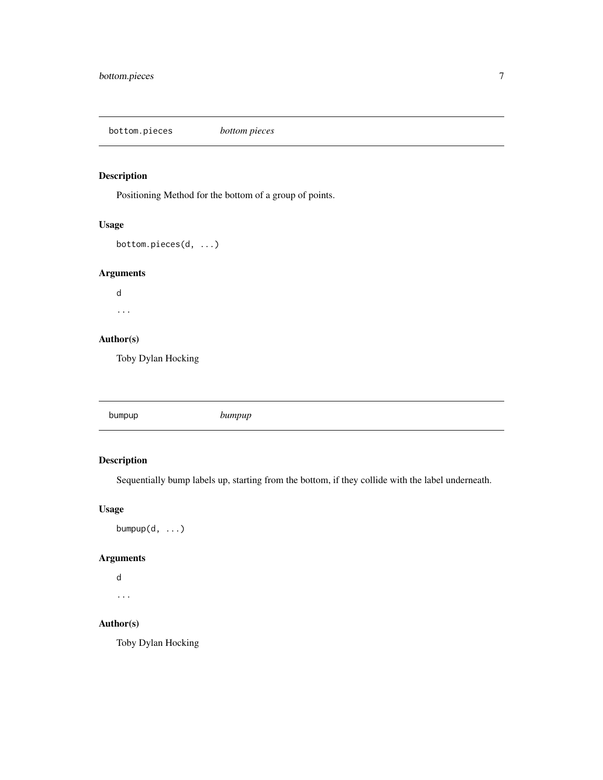<span id="page-6-0"></span>bottom.pieces *bottom pieces*

### Description

Positioning Method for the bottom of a group of points.

### Usage

```
bottom.pieces(d, ...)
```
### Arguments

d ...

### Author(s)

Toby Dylan Hocking

bumpup *bumpup*

### Description

Sequentially bump labels up, starting from the bottom, if they collide with the label underneath.

### Usage

bumpup $(d, \ldots)$ 

### Arguments

```
d
...
```
### Author(s)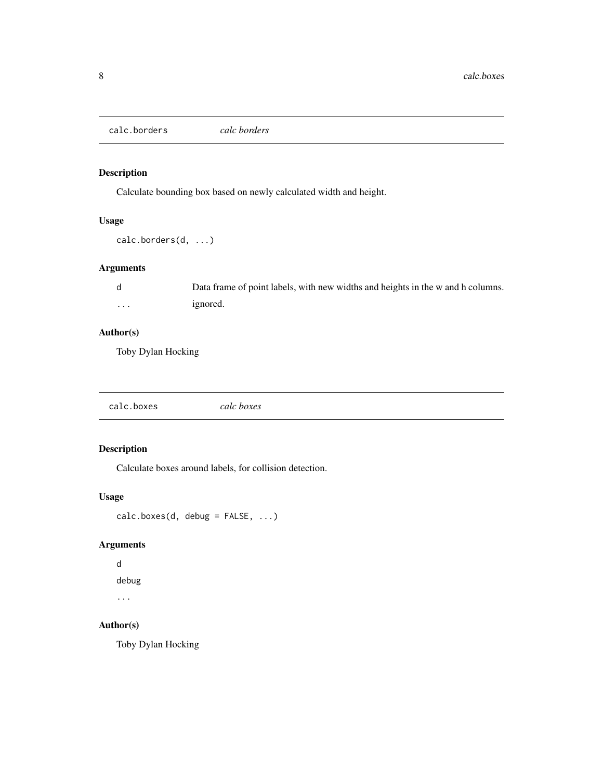<span id="page-7-0"></span>calc.borders *calc borders*

### Description

Calculate bounding box based on newly calculated width and height.

### Usage

calc.borders(d, ...)

### Arguments

|   | Data frame of point labels, with new widths and heights in the w and h columns. |
|---|---------------------------------------------------------------------------------|
| . | ignored.                                                                        |

### Author(s)

Toby Dylan Hocking

| calc.boxes | calc boxes |  |  |
|------------|------------|--|--|
|------------|------------|--|--|

### Description

Calculate boxes around labels, for collision detection.

### Usage

```
calc.boxes(d, debug = FALSE, ...)
```
### Arguments

```
d
debug
```
...

### Author(s)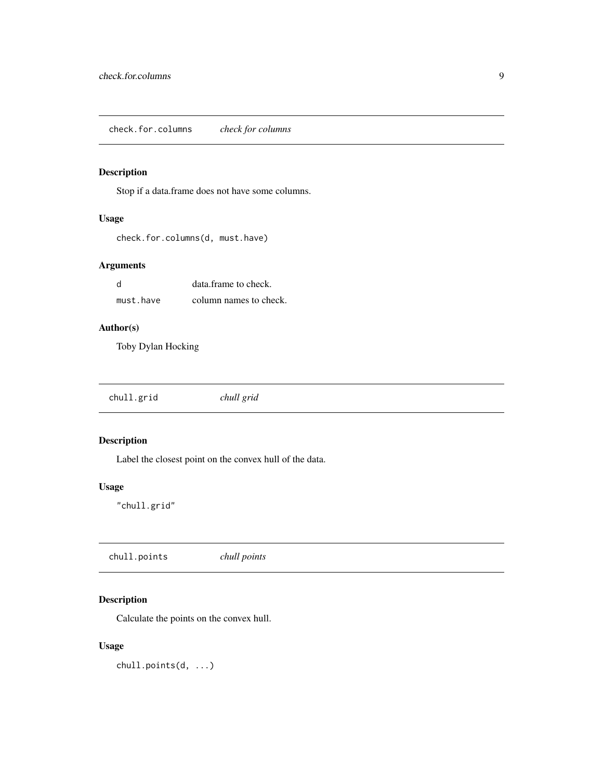<span id="page-8-0"></span>check.for.columns *check for columns*

### Description

Stop if a data.frame does not have some columns.

### Usage

```
check.for.columns(d, must.have)
```
### Arguments

| - d       | data frame to check.   |
|-----------|------------------------|
| must.have | column names to check. |

### Author(s)

Toby Dylan Hocking

|--|

### Description

Label the closest point on the convex hull of the data.

### Usage

"chull.grid"

chull.points *chull points*

### Description

Calculate the points on the convex hull.

### Usage

chull.points(d, ...)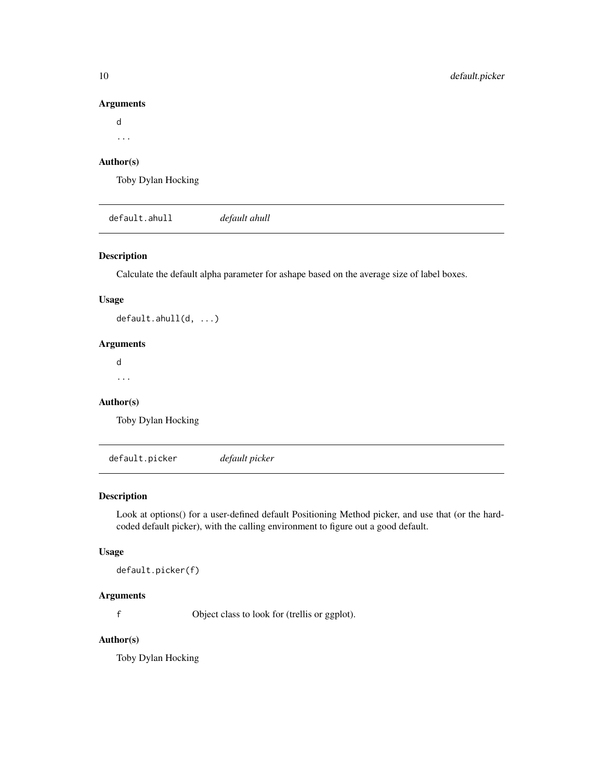#### Arguments

d

...

### Author(s)

Toby Dylan Hocking

default.ahull *default ahull*

### Description

Calculate the default alpha parameter for ashape based on the average size of label boxes.

### Usage

default.ahull(d, ...)

### Arguments

d ...

### Author(s)

Toby Dylan Hocking

default.picker *default picker*

### Description

Look at options() for a user-defined default Positioning Method picker, and use that (or the hardcoded default picker), with the calling environment to figure out a good default.

### Usage

```
default.picker(f)
```
### Arguments

f Object class to look for (trellis or ggplot).

### Author(s)

<span id="page-9-0"></span>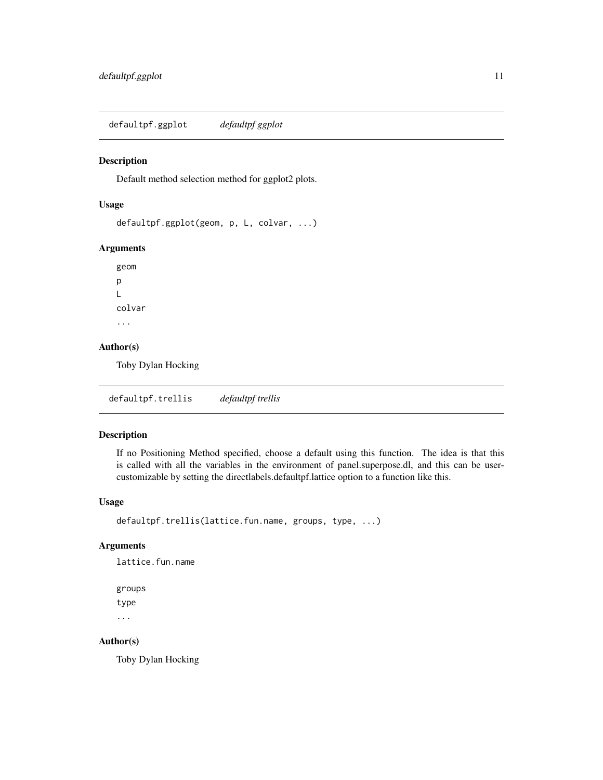<span id="page-10-0"></span>defaultpf.ggplot *defaultpf ggplot*

#### Description

Default method selection method for ggplot2 plots.

#### Usage

```
defaultpf.ggplot(geom, p, L, colvar, ...)
```
### Arguments

geom p L colvar ...

### Author(s)

Toby Dylan Hocking

defaultpf.trellis *defaultpf trellis*

#### Description

If no Positioning Method specified, choose a default using this function. The idea is that this is called with all the variables in the environment of panel.superpose.dl, and this can be usercustomizable by setting the directlabels.defaultpf.lattice option to a function like this.

### Usage

```
defaultpf.trellis(lattice.fun.name, groups, type, ...)
```
### Arguments

lattice.fun.name

```
groups
type
...
```
#### Author(s)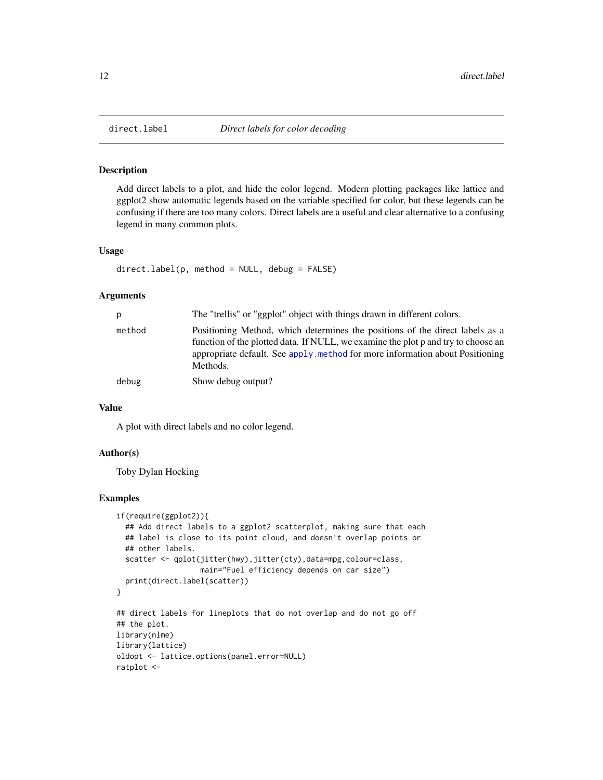#### Description

Add direct labels to a plot, and hide the color legend. Modern plotting packages like lattice and ggplot2 show automatic legends based on the variable specified for color, but these legends can be confusing if there are too many colors. Direct labels are a useful and clear alternative to a confusing legend in many common plots.

#### Usage

```
direct.label(p, method = NULL, debug = FALSE)
```
#### Arguments

| p      | The "trellis" or "ggplot" object with things drawn in different colors.                                                                                                                                                                                       |
|--------|---------------------------------------------------------------------------------------------------------------------------------------------------------------------------------------------------------------------------------------------------------------|
| method | Positioning Method, which determines the positions of the direct labels as a<br>function of the plotted data. If NULL, we examine the plot p and try to choose an<br>appropriate default. See apply method for more information about Positioning<br>Methods. |
| debug  | Show debug output?                                                                                                                                                                                                                                            |

#### Value

A plot with direct labels and no color legend.

#### Author(s)

Toby Dylan Hocking

#### Examples

```
if(require(ggplot2)){
 ## Add direct labels to a ggplot2 scatterplot, making sure that each
 ## label is close to its point cloud, and doesn't overlap points or
 ## other labels.
 scatter <- qplot(jitter(hwy),jitter(cty),data=mpg,colour=class,
                  main="Fuel efficiency depends on car size")
 print(direct.label(scatter))
}
## direct labels for lineplots that do not overlap and do not go off
## the plot.
library(nlme)
library(lattice)
oldopt <- lattice.options(panel.error=NULL)
ratplot <-
```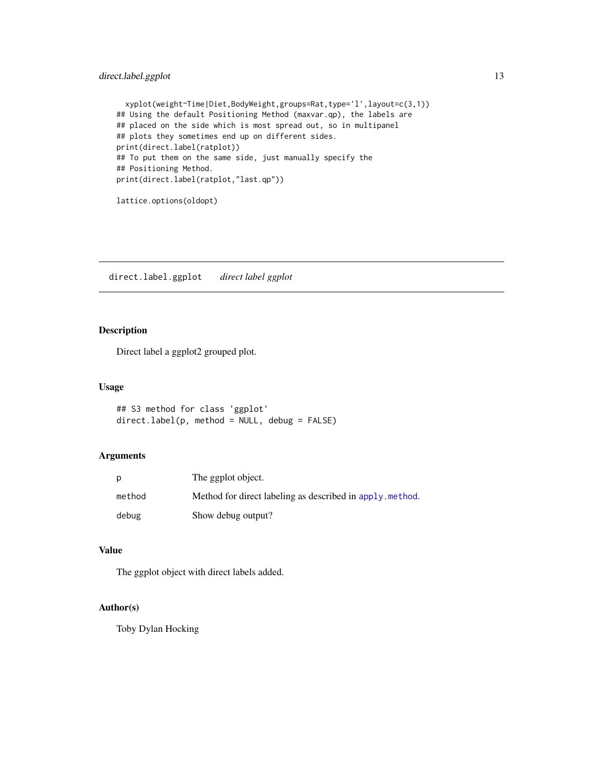### <span id="page-12-0"></span>direct.label.ggplot 13

```
xyplot(weight~Time|Diet,BodyWeight,groups=Rat,type='l',layout=c(3,1))
## Using the default Positioning Method (maxvar.qp), the labels are
## placed on the side which is most spread out, so in multipanel
## plots they sometimes end up on different sides.
print(direct.label(ratplot))
## To put them on the same side, just manually specify the
## Positioning Method.
print(direct.label(ratplot,"last.qp"))
```

```
lattice.options(oldopt)
```
direct.label.ggplot *direct label ggplot*

### Description

Direct label a ggplot2 grouped plot.

#### Usage

```
## S3 method for class 'ggplot'
direct.label(p, method = NULL, debug = FALSE)
```
### Arguments

|        | The ggplot object.                                        |
|--------|-----------------------------------------------------------|
| method | Method for direct labeling as described in apply, method. |
| debug  | Show debug output?                                        |

#### Value

The ggplot object with direct labels added.

### Author(s)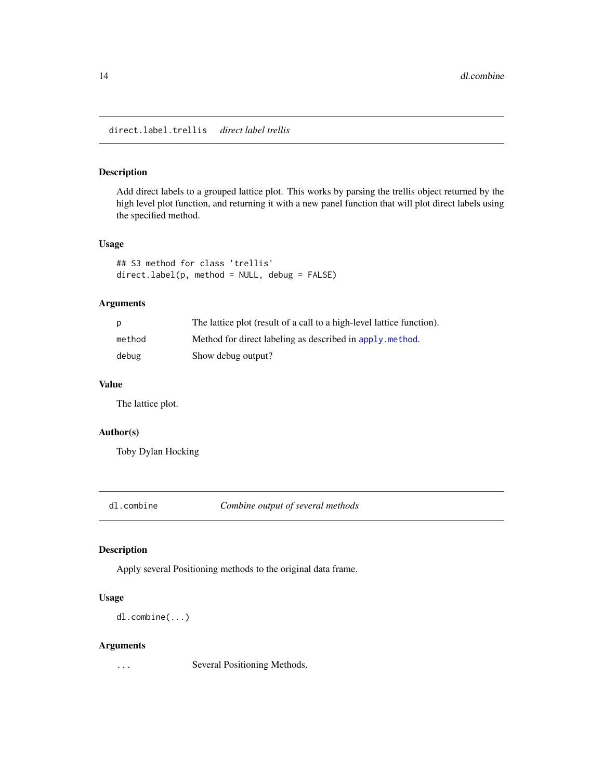### <span id="page-13-0"></span>Description

Add direct labels to a grouped lattice plot. This works by parsing the trellis object returned by the high level plot function, and returning it with a new panel function that will plot direct labels using the specified method.

### Usage

```
## S3 method for class 'trellis'
direct.label(p, method = NULL, debug = FALSE)
```
### Arguments

| p      | The lattice plot (result of a call to a high-level lattice function). |
|--------|-----------------------------------------------------------------------|
| method | Method for direct labeling as described in apply, method.             |
| debug  | Show debug output?                                                    |

### Value

The lattice plot.

#### Author(s)

Toby Dylan Hocking

dl.combine *Combine output of several methods*

### Description

Apply several Positioning methods to the original data frame.

### Usage

dl.combine(...)

### Arguments

... Several Positioning Methods.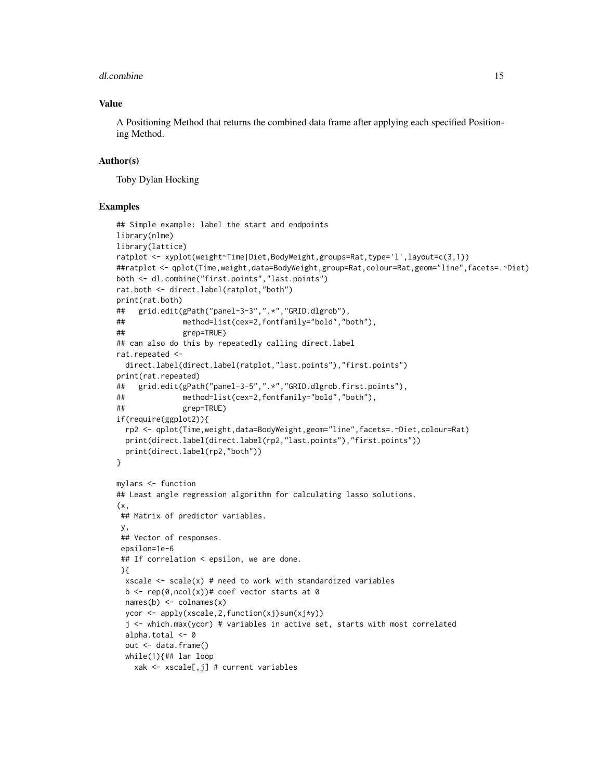#### dl.combine 15

### Value

A Positioning Method that returns the combined data frame after applying each specified Positioning Method.

### Author(s)

Toby Dylan Hocking

### Examples

```
## Simple example: label the start and endpoints
library(nlme)
library(lattice)
ratplot <- xyplot(weight~Time|Diet,BodyWeight,groups=Rat,type='l',layout=c(3,1))
##ratplot <- qplot(Time,weight,data=BodyWeight,group=Rat,colour=Rat,geom="line",facets=.~Diet)
both <- dl.combine("first.points","last.points")
rat.both <- direct.label(ratplot,"both")
print(rat.both)
## grid.edit(gPath("panel-3-3",".*","GRID.dlgrob"),
## method=list(cex=2,fontfamily="bold","both"),
## grep=TRUE)
## can also do this by repeatedly calling direct.label
rat.repeated <-
 direct.label(direct.label(ratplot,"last.points"),"first.points")
print(rat.repeated)
## grid.edit(gPath("panel-3-5",".*","GRID.dlgrob.first.points"),
## method=list(cex=2,fontfamily="bold","both"),
## grep=TRUE)
if(require(ggplot2)){
 rp2 <- qplot(Time,weight,data=BodyWeight,geom="line",facets=.~Diet,colour=Rat)
 print(direct.label(direct.label(rp2,"last.points"),"first.points"))
 print(direct.label(rp2,"both"))
}
mylars <- function
## Least angle regression algorithm for calculating lasso solutions.
(x,
## Matrix of predictor variables.
y,
## Vector of responses.
 epsilon=1e-6
 ## If correlation < epsilon, we are done.
 ){
 xscale \leftarrow scale(x) # need to work with standardized variables
 b \leq rep(0,ncol(x))# coef vector starts at 0
 names(b) <- collnames(x)ycor <- apply(xscale,2,function(xj)sum(xj*y))
  j <- which.max(ycor) # variables in active set, starts with most correlated
 alpha.total <- 0
 out <- data.frame()
 while(1){## lar loop
   xak <- xscale[,j] # current variables
```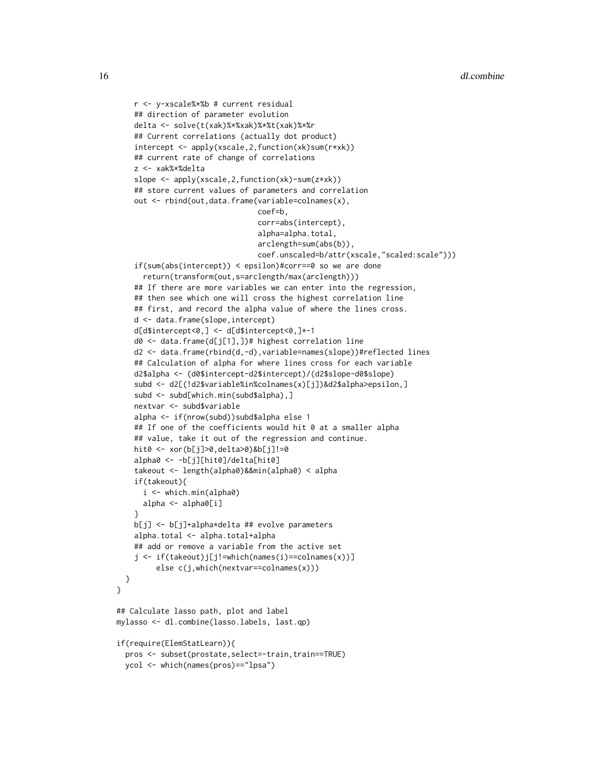```
r <- y-xscale%*%b # current residual
    ## direction of parameter evolution
    delta <- solve(t(xak)%*%xak)%*%t(xak)%*%r
    ## Current correlations (actually dot product)
    intercept <- apply(xscale,2,function(xk)sum(r*xk))
    ## current rate of change of correlations
    z <- xak%*%delta
    slope <- apply(xscale,2,function(xk)-sum(z*xk))
    ## store current values of parameters and correlation
    out <- rbind(out,data.frame(variable=colnames(x),
                                coef=b,
                                corr=abs(intercept),
                                alpha=alpha.total,
                                arclength=sum(abs(b)),
                                coef.unscaled=b/attr(xscale,"scaled:scale")))
    if(sum(abs(intercept)) < epsilon)#corr==0 so we are done
     return(transform(out,s=arclength/max(arclength)))
    ## If there are more variables we can enter into the regression,
    ## then see which one will cross the highest correlation line
    ## first, and record the alpha value of where the lines cross.
    d <- data.frame(slope,intercept)
    d[d$intercept<0,] <- d[d$intercept<0,]*-1
    d0 <- data.frame(d[j[1],])# highest correlation line
    d2 <- data.frame(rbind(d,-d),variable=names(slope))#reflected lines
    ## Calculation of alpha for where lines cross for each variable
    d2$alpha <- (d0$intercept-d2$intercept)/(d2$slope-d0$slope)
    subd <- d2[(!d2$variable%in%colnames(x)[j])&d2$alpha>epsilon,]
    subd <- subd[which.min(subd$alpha),]
    nextvar <- subd$variable
    alpha <- if(nrow(subd))subd$alpha else 1
    ## If one of the coefficients would hit 0 at a smaller alpha
    ## value, take it out of the regression and continue.
    hit0 <- xor(b[j]>0,delta>0)&b[j]!=0
    alpha0 <- -b[j][hit0]/delta[hit0]
    takeout <- length(alpha0)&&min(alpha0) < alpha
    if(takeout){
     i <- which.min(alpha0)
     alpha <- alpha0[i]
    }
    b[j] <- b[j]+alpha*delta ## evolve parameters
    alpha.total <- alpha.total+alpha
    ## add or remove a variable from the active set
    j <- if(takeout)j[j!=which(names(i)==colnames(x))]
         else c(j,which(nextvar==colnames(x)))
 }
## Calculate lasso path, plot and label
mylasso <- dl.combine(lasso.labels, last.qp)
if(require(ElemStatLearn)){
 pros <- subset(prostate,select=-train,train==TRUE)
 ycol <- which(names(pros)=="lpsa")
```
}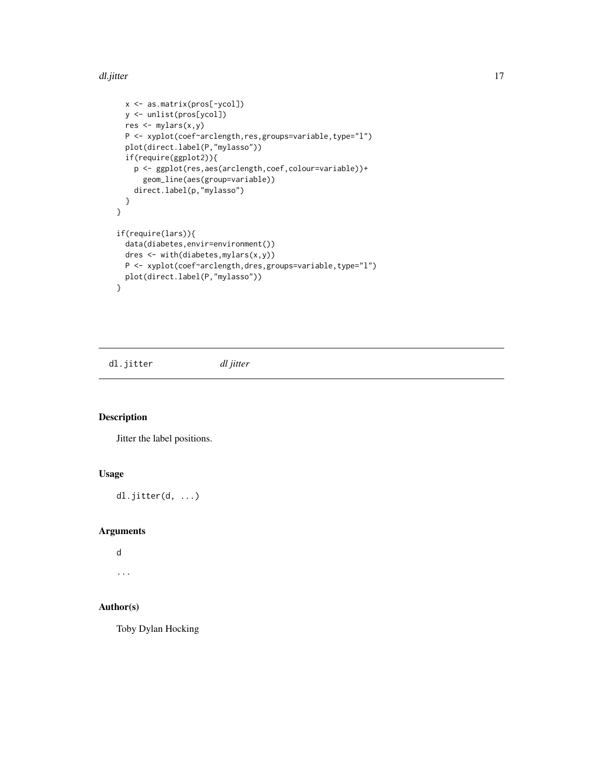#### <span id="page-16-0"></span>dl.jitter 17

```
x <- as.matrix(pros[-ycol])
  y <- unlist(pros[ycol])
  res <- mylars(x,y)
  P <- xyplot(coef~arclength,res,groups=variable,type="l")
  plot(direct.label(P,"mylasso"))
  if(require(ggplot2)){
    p <- ggplot(res,aes(arclength,coef,colour=variable))+
      geom_line(aes(group=variable))
    direct.label(p,"mylasso")
  }
}
if(require(lars)){
  data(diabetes,envir=environment())
  dres <- with(diabetes,mylars(x,y))
  P <- xyplot(coef~arclength,dres,groups=variable,type="l")
  plot(direct.label(P,"mylasso"))
}
```
dl.jitter *dl jitter*

### Description

Jitter the label positions.

### Usage

dl.jitter(d, ...)

### Arguments

```
d
...
```
### Author(s)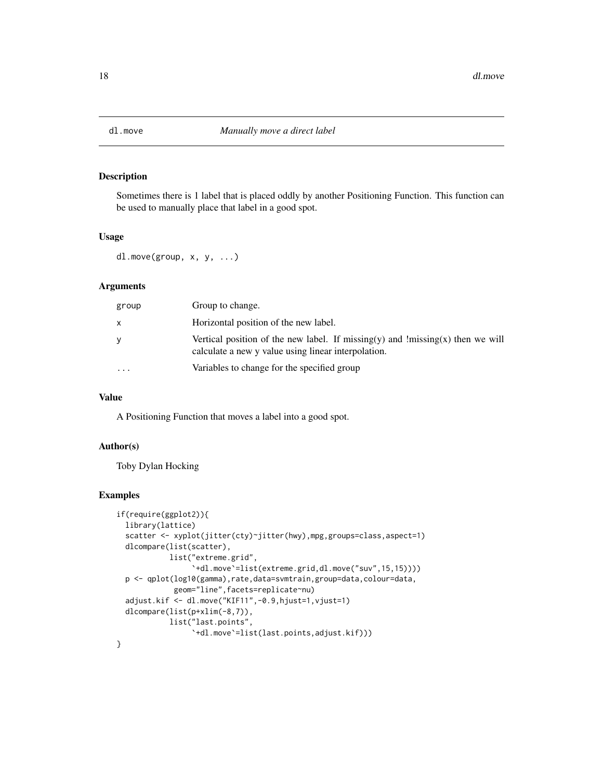<span id="page-17-0"></span>

#### Description

Sometimes there is 1 label that is placed oddly by another Positioning Function. This function can be used to manually place that label in a good spot.

#### Usage

dl.move(group, x, y, ...)

#### Arguments

| group     | Group to change.                                                                                                                      |
|-----------|---------------------------------------------------------------------------------------------------------------------------------------|
|           | Horizontal position of the new label.                                                                                                 |
|           | Vertical position of the new label. If missing(y) and !missing(x) then we will<br>calculate a new y value using linear interpolation. |
| $\ddotsc$ | Variables to change for the specified group                                                                                           |

#### Value

A Positioning Function that moves a label into a good spot.

#### Author(s)

Toby Dylan Hocking

### Examples

```
if(require(ggplot2)){
 library(lattice)
 scatter <- xyplot(jitter(cty)~jitter(hwy),mpg,groups=class,aspect=1)
 dlcompare(list(scatter),
            list("extreme.grid",
                 `+dl.move`=list(extreme.grid,dl.move("suv",15,15))))
 p <- qplot(log10(gamma),rate,data=svmtrain,group=data,colour=data,
             geom="line",facets=replicate~nu)
 adjust.kif <- dl.move("KIF11",-0.9,hjust=1,vjust=1)
 dlcompare(list(p+xlim(-8,7)),
            list("last.points",
                 `+dl.move`=list(last.points,adjust.kif)))
}
```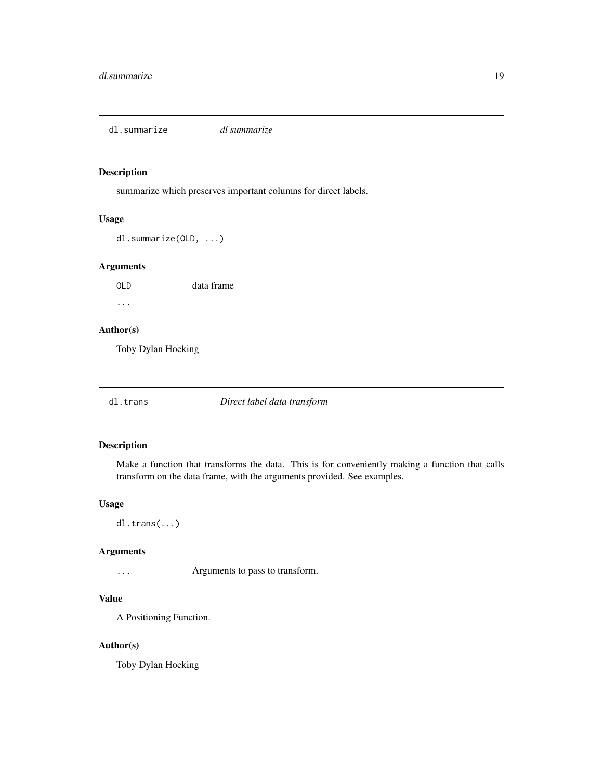<span id="page-18-0"></span>dl.summarize *dl summarize*

### Description

summarize which preserves important columns for direct labels.

### Usage

dl.summarize(OLD, ...)

### Arguments

OLD data frame ...

### Author(s)

Toby Dylan Hocking

dl.trans *Direct label data transform*

#### Description

Make a function that transforms the data. This is for conveniently making a function that calls transform on the data frame, with the arguments provided. See examples.

### Usage

dl.trans(...)

### Arguments

... Arguments to pass to transform.

### Value

A Positioning Function.

### Author(s)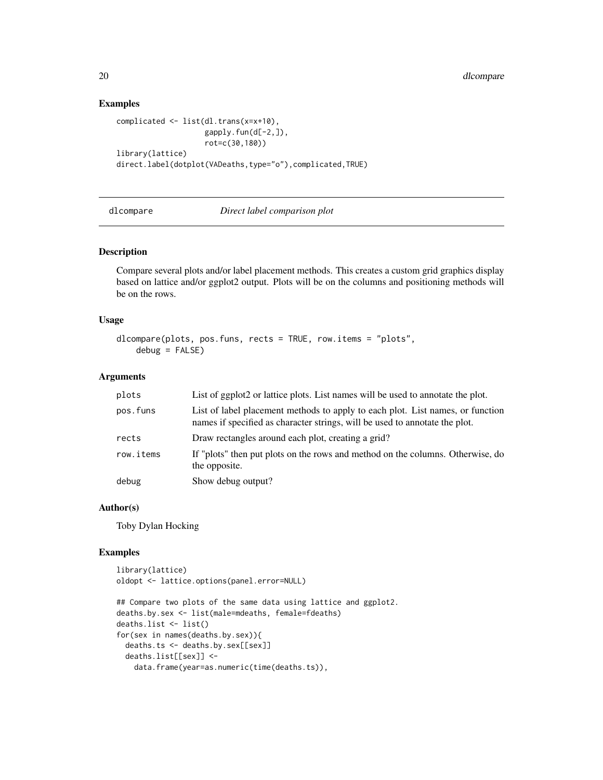### Examples

```
complicated <- list(dl.trans(x=x+10),
                    gapply.fun(d[-2,]),
                    rot=c(30,180))
library(lattice)
direct.label(dotplot(VADeaths,type="o"),complicated,TRUE)
```
dlcompare *Direct label comparison plot*

#### Description

Compare several plots and/or label placement methods. This creates a custom grid graphics display based on lattice and/or ggplot2 output. Plots will be on the columns and positioning methods will be on the rows.

### Usage

```
dlcompare(plots, pos.funs, rects = TRUE, row.items = "plots",
   debug = FALSE)
```
#### Arguments

| plots     | List of ggplot2 or lattice plots. List names will be used to annotate the plot.                                                                               |
|-----------|---------------------------------------------------------------------------------------------------------------------------------------------------------------|
| pos.funs  | List of label placement methods to apply to each plot. List names, or function<br>names if specified as character strings, will be used to annotate the plot. |
| rects     | Draw rectangles around each plot, creating a grid?                                                                                                            |
| row.items | If "plots" then put plots on the rows and method on the columns. Otherwise, do<br>the opposite.                                                               |
| debug     | Show debug output?                                                                                                                                            |

### Author(s)

Toby Dylan Hocking

### Examples

```
library(lattice)
oldopt <- lattice.options(panel.error=NULL)
```

```
## Compare two plots of the same data using lattice and ggplot2.
deaths.by.sex <- list(male=mdeaths, female=fdeaths)
deaths.list <- list()
for(sex in names(deaths.by.sex)){
 deaths.ts <- deaths.by.sex[[sex]]
 deaths.list[[sex]] <-
   data.frame(year=as.numeric(time(deaths.ts)),
```
<span id="page-19-0"></span>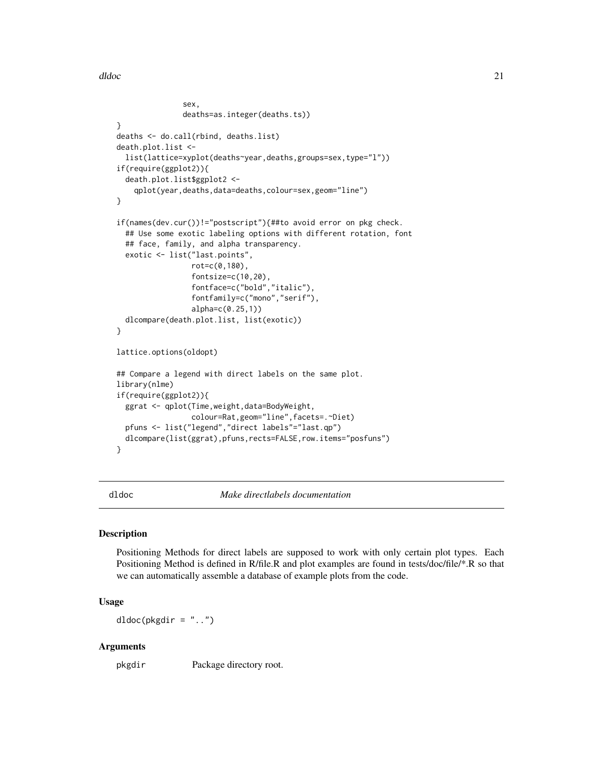<span id="page-20-0"></span>dldoc 21

```
sex,
               deaths=as.integer(deaths.ts))
}
deaths <- do.call(rbind, deaths.list)
death.plot.list <-
 list(lattice=xyplot(deaths~year,deaths,groups=sex,type="l"))
if(require(ggplot2)){
 death.plot.list$ggplot2 <-
    qplot(year,deaths,data=deaths,colour=sex,geom="line")
}
if(names(dev.cur())!="postscript"){##to avoid error on pkg check.
 ## Use some exotic labeling options with different rotation, font
 ## face, family, and alpha transparency.
 exotic <- list("last.points",
                 rot=c(0,180),
                 fontsize=c(10,20),
                 fontface=c("bold","italic"),
                 fontfamily=c("mono","serif"),
                 alpha=c(0.25,1))
 dlcompare(death.plot.list, list(exotic))
}
lattice.options(oldopt)
## Compare a legend with direct labels on the same plot.
library(nlme)
if(require(ggplot2)){
 ggrat <- qplot(Time,weight,data=BodyWeight,
                 colour=Rat,geom="line",facets=.~Diet)
 pfuns <- list("legend","direct labels"="last.qp")
 dlcompare(list(ggrat),pfuns,rects=FALSE,row.items="posfuns")
}
```
dldoc *Make directlabels documentation*

#### Description

Positioning Methods for direct labels are supposed to work with only certain plot types. Each Positioning Method is defined in R/file.R and plot examples are found in tests/doc/file/\*.R so that we can automatically assemble a database of example plots from the code.

### Usage

dldoc(pkgdir = "..")

#### Arguments

pkgdir Package directory root.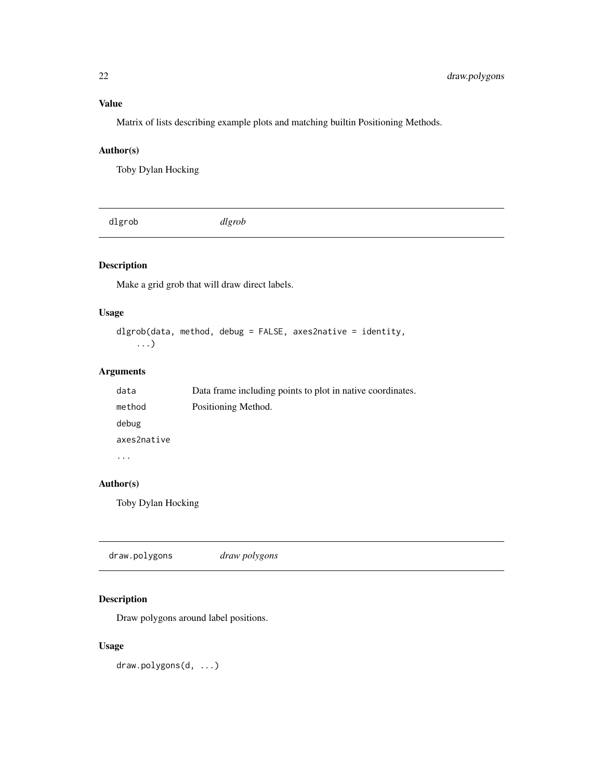### <span id="page-21-0"></span>Value

Matrix of lists describing example plots and matching builtin Positioning Methods.

### Author(s)

Toby Dylan Hocking

dlgrob *dlgrob*

### Description

Make a grid grob that will draw direct labels.

### Usage

```
dlgrob(data, method, debug = FALSE, axes2native = identity,
   ...)
```
### Arguments

| data        | Data frame including points to plot in native coordinates. |
|-------------|------------------------------------------------------------|
| method      | Positioning Method.                                        |
| debug       |                                                            |
| axes2native |                                                            |
|             |                                                            |

### Author(s)

Toby Dylan Hocking

|--|--|--|

### Description

Draw polygons around label positions.

### Usage

draw.polygons(d, ...)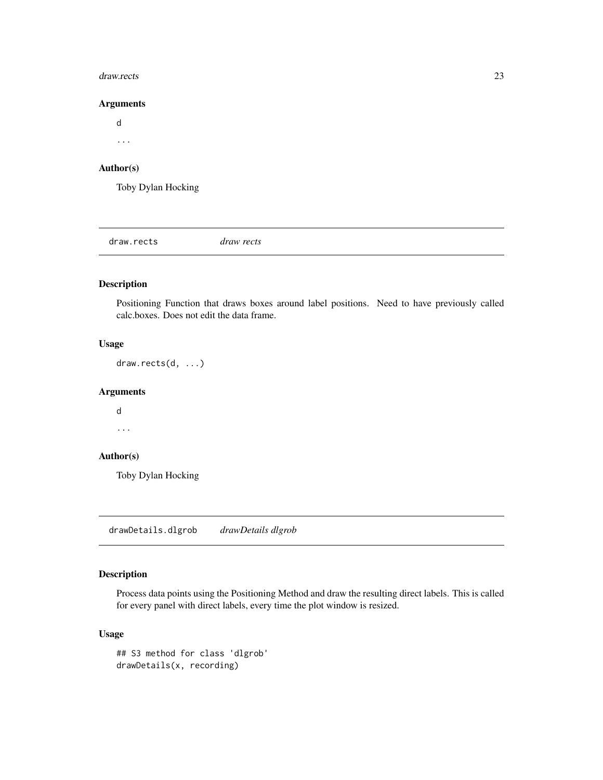#### <span id="page-22-0"></span>draw.rects 23

### Arguments

d ...

### Author(s)

Toby Dylan Hocking

draw.rects *draw rects*

### Description

Positioning Function that draws boxes around label positions. Need to have previously called calc.boxes. Does not edit the data frame.

### Usage

draw.rects(d, ...)

### Arguments

d

...

### Author(s)

Toby Dylan Hocking

<span id="page-22-1"></span>drawDetails.dlgrob *drawDetails dlgrob*

### Description

Process data points using the Positioning Method and draw the resulting direct labels. This is called for every panel with direct labels, every time the plot window is resized.

### Usage

```
## S3 method for class 'dlgrob'
drawDetails(x, recording)
```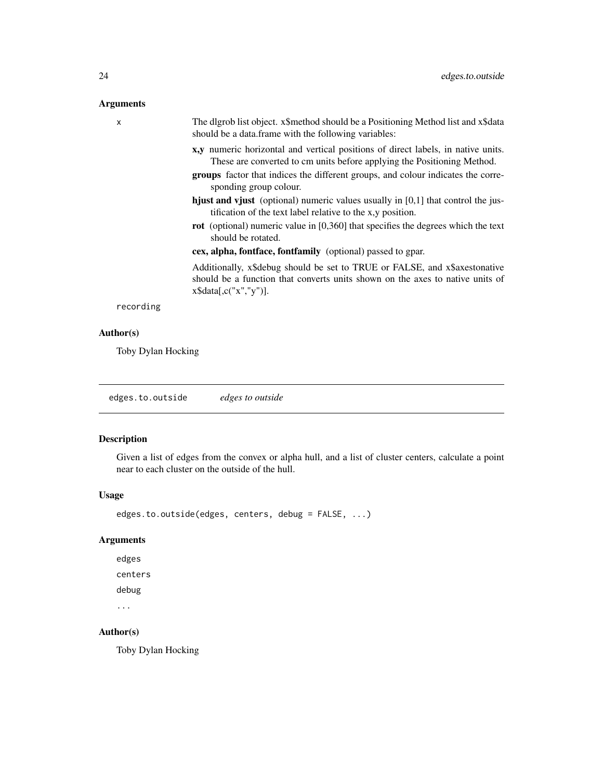### <span id="page-23-0"></span>Arguments

| $\mathsf{x}$ | The digrob list object. x\$method should be a Positioning Method list and x\$data<br>should be a data.frame with the following variables:                                                                                                                                 |
|--------------|---------------------------------------------------------------------------------------------------------------------------------------------------------------------------------------------------------------------------------------------------------------------------|
|              | x,y numeric horizontal and vertical positions of direct labels, in native units.<br>These are converted to cm units before applying the Positioning Method.<br>groups factor that indices the different groups, and colour indicates the corre-<br>sponding group colour. |
|              | <b>hjust and vjust</b> (optional) numeric values usually in $[0,1]$ that control the jus-<br>tification of the text label relative to the x,y position.                                                                                                                   |
|              | <b>rot</b> (optional) numeric value in [0,360] that specifies the degrees which the text<br>should be rotated.                                                                                                                                                            |
|              | cex, alpha, fontface, fontfamily (optional) passed to gpar.                                                                                                                                                                                                               |
|              | Additionally, x\$debug should be set to TRUE or FALSE, and x\$axestonative<br>should be a function that converts units shown on the axes to native units of<br>$x\$ {S}data[,c("x", "y")].                                                                                |
| recording    |                                                                                                                                                                                                                                                                           |
|              |                                                                                                                                                                                                                                                                           |

### Author(s)

Toby Dylan Hocking

edges.to.outside *edges to outside*

### Description

Given a list of edges from the convex or alpha hull, and a list of cluster centers, calculate a point near to each cluster on the outside of the hull.

#### Usage

edges.to.outside(edges, centers, debug = FALSE, ...)

### Arguments

edges centers debug ...

### Author(s)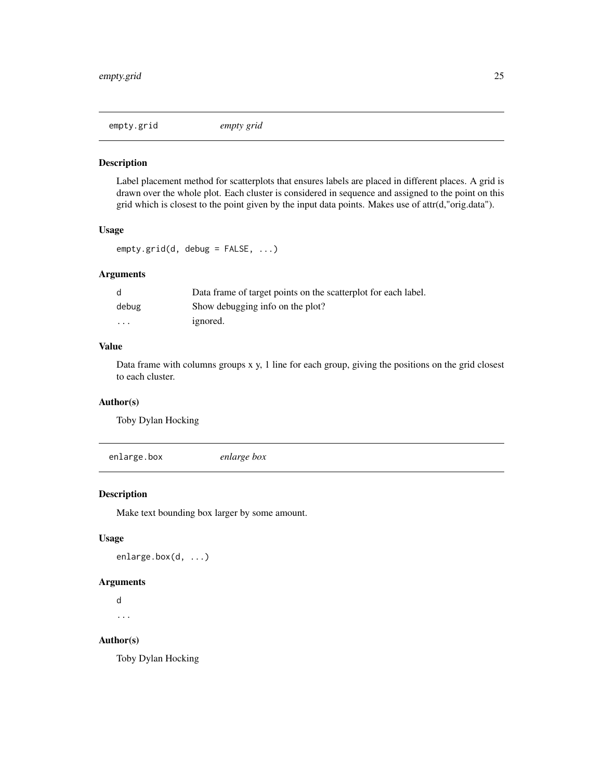<span id="page-24-0"></span>

### Description

Label placement method for scatterplots that ensures labels are placed in different places. A grid is drawn over the whole plot. Each cluster is considered in sequence and assigned to the point on this grid which is closest to the point given by the input data points. Makes use of attr(d,"orig.data").

### Usage

empty.grid(d, debug = FALSE, ...)

### Arguments

| d                       | Data frame of target points on the scatterplot for each label. |
|-------------------------|----------------------------------------------------------------|
| debug                   | Show debugging info on the plot?                               |
| $\cdot$ $\cdot$ $\cdot$ | ignored.                                                       |

### Value

Data frame with columns groups x y, 1 line for each group, giving the positions on the grid closest to each cluster.

### Author(s)

Toby Dylan Hocking

enlarge.box *enlarge box*

#### Description

Make text bounding box larger by some amount.

#### Usage

enlarge.box(d, ...)

### Arguments

d ...

### Author(s)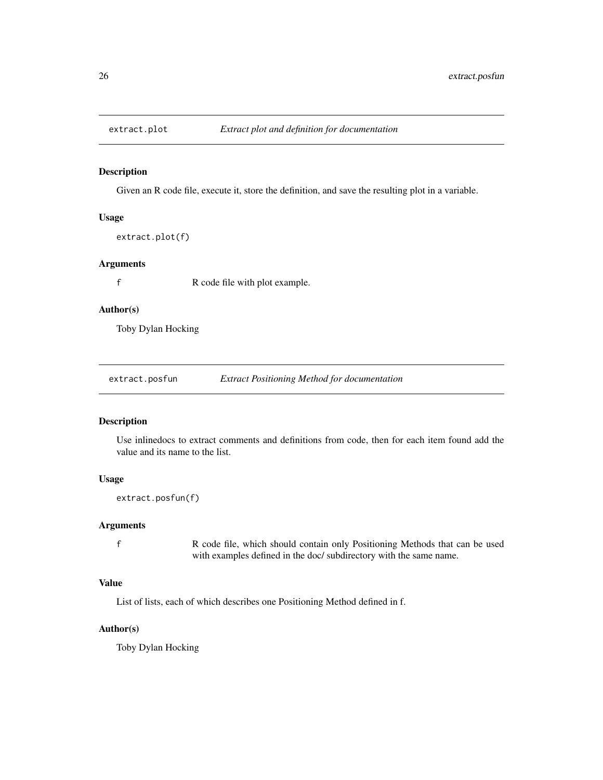<span id="page-25-0"></span>

#### Description

Given an R code file, execute it, store the definition, and save the resulting plot in a variable.

### Usage

extract.plot(f)

#### Arguments

f R code file with plot example.

### Author(s)

Toby Dylan Hocking

extract.posfun *Extract Positioning Method for documentation*

### Description

Use inlinedocs to extract comments and definitions from code, then for each item found add the value and its name to the list.

#### Usage

extract.posfun(f)

### Arguments

f R code file, which should contain only Positioning Methods that can be used with examples defined in the doc/ subdirectory with the same name.

### Value

List of lists, each of which describes one Positioning Method defined in f.

### Author(s)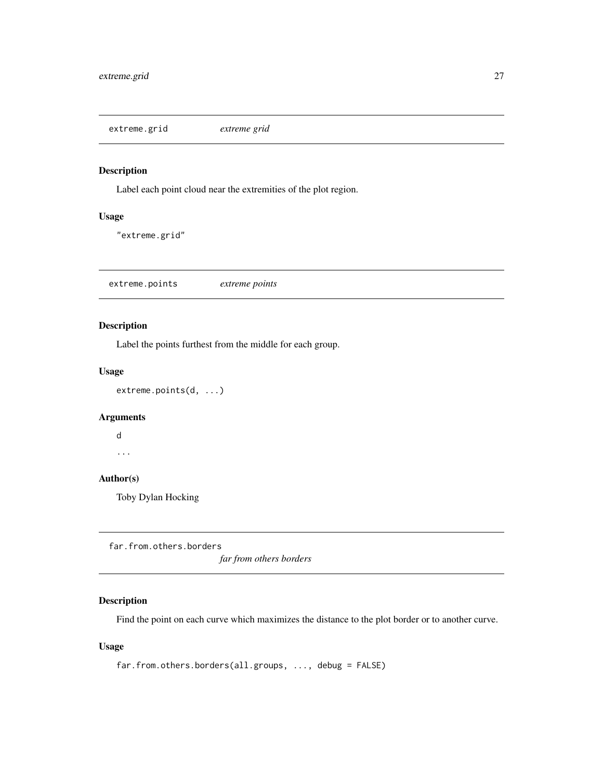<span id="page-26-0"></span>extreme.grid *extreme grid*

### Description

Label each point cloud near the extremities of the plot region.

### Usage

"extreme.grid"

extreme.points *extreme points*

### Description

Label the points furthest from the middle for each group.

### Usage

extreme.points(d, ...)

### Arguments

d

...

### Author(s)

Toby Dylan Hocking

far.from.others.borders

*far from others borders*

### Description

Find the point on each curve which maximizes the distance to the plot border or to another curve.

### Usage

```
far.from.others.borders(all.groups, ..., debug = FALSE)
```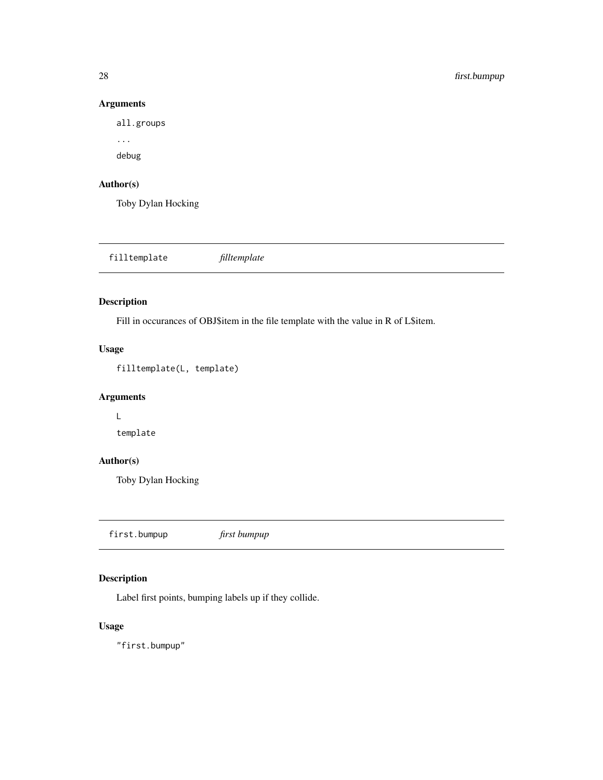### Arguments

all.groups

... debug

### Author(s)

Toby Dylan Hocking

filltemplate *filltemplate*

### Description

Fill in occurances of OBJ\$item in the file template with the value in R of L\$item.

### Usage

filltemplate(L, template)

### Arguments

L

template

### Author(s)

Toby Dylan Hocking

first.bumpup *first bumpup*

### Description

Label first points, bumping labels up if they collide.

### Usage

"first.bumpup"

<span id="page-27-0"></span>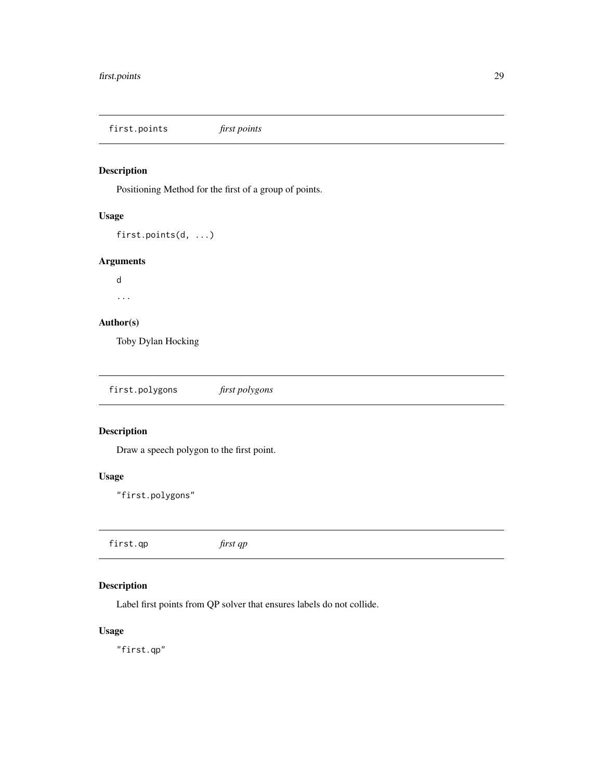<span id="page-28-0"></span>first.points *first points*

### Description

Positioning Method for the first of a group of points.

### Usage

```
first.points(d, ...)
```
### Arguments

d

...

### Author(s)

Toby Dylan Hocking

### Description

Draw a speech polygon to the first point.

### Usage

"first.polygons"

first.qp *first qp*

### Description

Label first points from QP solver that ensures labels do not collide.

### Usage

"first.qp"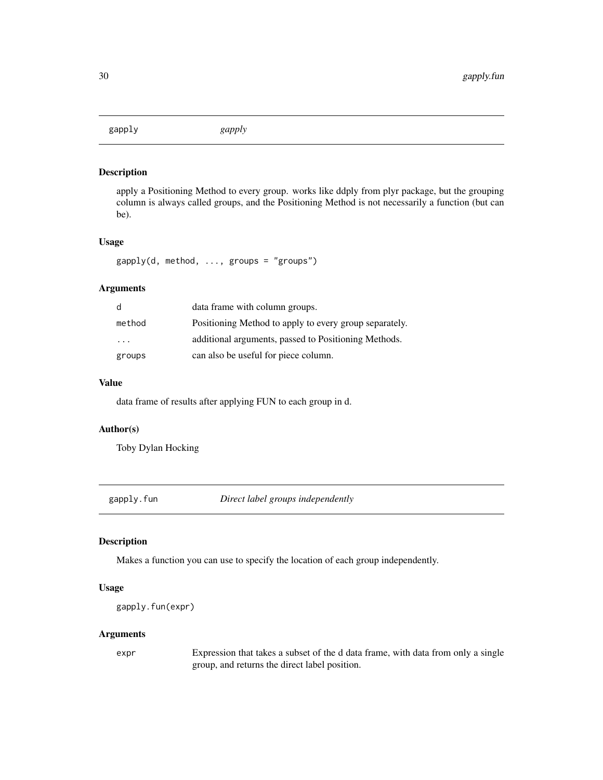<span id="page-29-0"></span>gapply *gapply*

#### Description

apply a Positioning Method to every group. works like ddply from plyr package, but the grouping column is always called groups, and the Positioning Method is not necessarily a function (but can be).

#### Usage

```
gapply(d, method, ..., groups = "groups")
```
### Arguments

| d                       | data frame with column groups.                         |
|-------------------------|--------------------------------------------------------|
| method                  | Positioning Method to apply to every group separately. |
| $\cdot$ $\cdot$ $\cdot$ | additional arguments, passed to Positioning Methods.   |
| groups                  | can also be useful for piece column.                   |

### Value

data frame of results after applying FUN to each group in d.

### Author(s)

Toby Dylan Hocking

gapply.fun *Direct label groups independently*

### Description

Makes a function you can use to specify the location of each group independently.

#### Usage

```
gapply.fun(expr)
```
### Arguments

expr Expression that takes a subset of the d data frame, with data from only a single group, and returns the direct label position.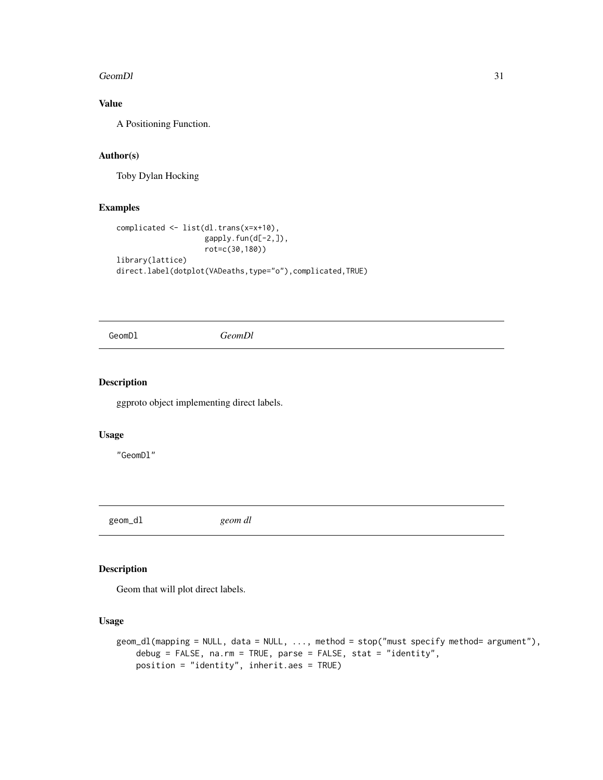#### <span id="page-30-0"></span>GeomDl 31

### Value

A Positioning Function.

### Author(s)

Toby Dylan Hocking

### Examples

```
complicated <- list(dl.trans(x=x+10),
                    gapply.fun(d[-2,]),
                    rot=c(30,180))
library(lattice)
direct.label(dotplot(VADeaths,type="o"),complicated,TRUE)
```
GeomDl *GeomDl*

### Description

ggproto object implementing direct labels.

### Usage

"GeomDl"

geom\_dl *geom dl*

### Description

Geom that will plot direct labels.

#### Usage

```
geom_dl(mapping = NULL, data = NULL, ..., method = stop("must specify method= argument"),
    debug = FALSE, na.rm = TRUE, parse = FALSE, stat = "identity",
   position = "identity", inherit.aes = TRUE)
```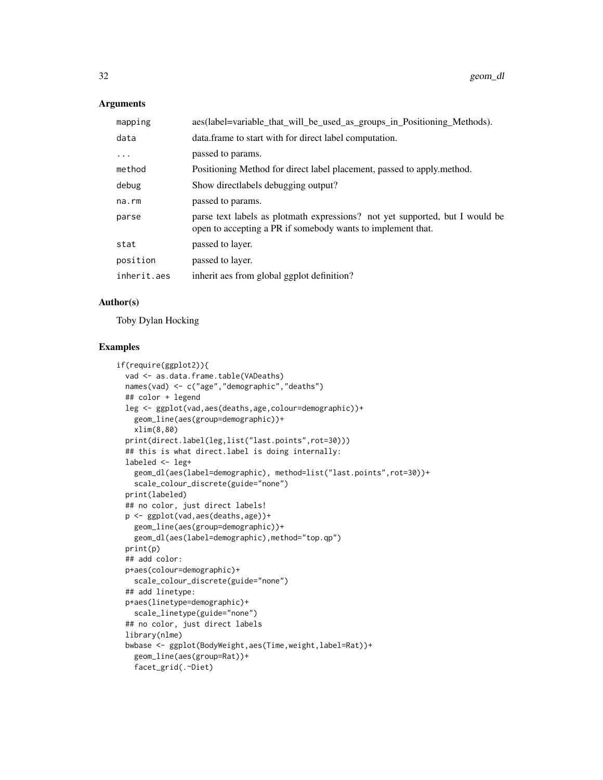### Arguments

| mapping     | aes(label=variable_that_will_be_used_as_groups_in_Positioning_Methods).                                                                     |
|-------------|---------------------------------------------------------------------------------------------------------------------------------------------|
| data        | data. frame to start with for direct label computation.                                                                                     |
| $\cdots$    | passed to params.                                                                                                                           |
| method      | Positioning Method for direct label placement, passed to apply method.                                                                      |
| debug       | Show directlabels debugging output?                                                                                                         |
| na.rm       | passed to params.                                                                                                                           |
| parse       | parse text labels as plotmath expressions? not yet supported, but I would be<br>open to accepting a PR if somebody wants to implement that. |
| stat        | passed to layer.                                                                                                                            |
| position    | passed to layer.                                                                                                                            |
| inherit.aes | inherit aes from global ggplot definition?                                                                                                  |

### Author(s)

Toby Dylan Hocking

### Examples

```
if(require(ggplot2)){
  vad <- as.data.frame.table(VADeaths)
  names(vad) <- c("age","demographic","deaths")
  ## color + legend
  leg <- ggplot(vad,aes(deaths,age,colour=demographic))+
   geom_line(aes(group=demographic))+
   xlim(8,80)
  print(direct.label(leg,list("last.points",rot=30)))
  ## this is what direct.label is doing internally:
  labeled <- leg+
    geom_dl(aes(label=demographic), method=list("last.points",rot=30))+
    scale_colour_discrete(guide="none")
  print(labeled)
  ## no color, just direct labels!
  p <- ggplot(vad,aes(deaths,age))+
    geom_line(aes(group=demographic))+
   geom_dl(aes(label=demographic),method="top.qp")
  print(p)
  ## add color:
  p+aes(colour=demographic)+
   scale_colour_discrete(guide="none")
  ## add linetype:
  p+aes(linetype=demographic)+
   scale_linetype(guide="none")
  ## no color, just direct labels
  library(nlme)
  bwbase <- ggplot(BodyWeight,aes(Time,weight,label=Rat))+
   geom_line(aes(group=Rat))+
    facet_grid(.~Diet)
```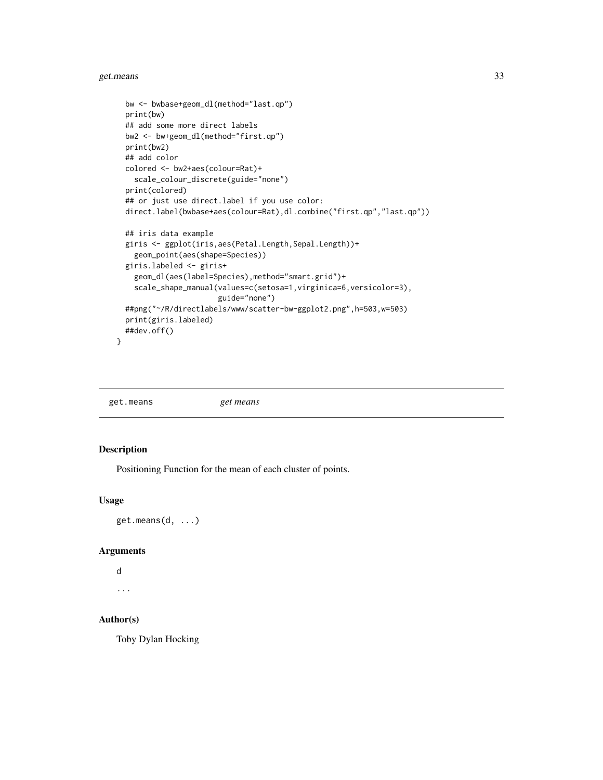#### <span id="page-32-0"></span>get.means 33

```
bw <- bwbase+geom_dl(method="last.qp")
print(bw)
## add some more direct labels
bw2 <- bw+geom_dl(method="first.qp")
print(bw2)
## add color
colored <- bw2+aes(colour=Rat)+
 scale_colour_discrete(guide="none")
print(colored)
## or just use direct.label if you use color:
direct.label(bwbase+aes(colour=Rat),dl.combine("first.qp","last.qp"))
## iris data example
giris <- ggplot(iris,aes(Petal.Length,Sepal.Length))+
  geom_point(aes(shape=Species))
giris.labeled <- giris+
  geom_dl(aes(label=Species),method="smart.grid")+
  scale_shape_manual(values=c(setosa=1,virginica=6,versicolor=3),
                     guide="none")
##png("~/R/directlabels/www/scatter-bw-ggplot2.png",h=503,w=503)
print(giris.labeled)
##dev.off()
```
get.means *get means*

### Description

}

Positioning Function for the mean of each cluster of points.

#### Usage

```
get.means(d, ...)
```
#### Arguments

```
d
```
...

### Author(s)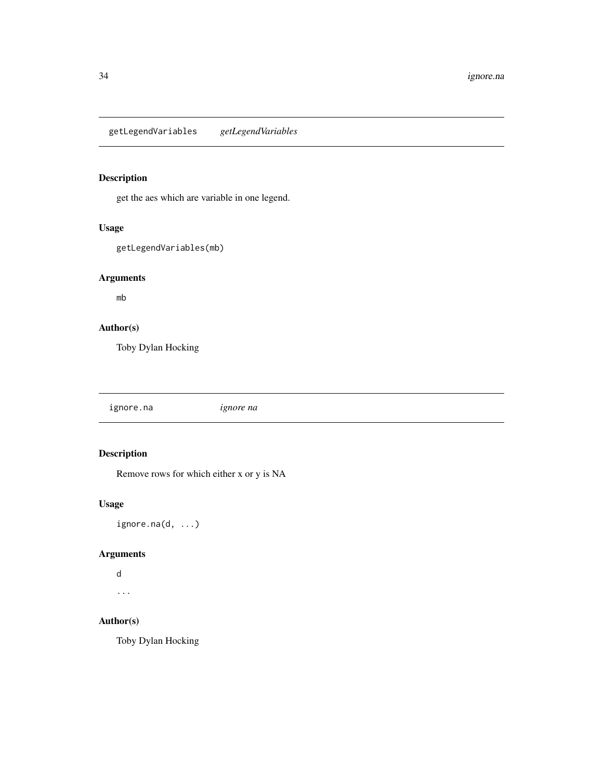<span id="page-33-0"></span>getLegendVariables *getLegendVariables*

### Description

get the aes which are variable in one legend.

### Usage

getLegendVariables(mb)

### Arguments

mb

### Author(s)

Toby Dylan Hocking

ignore.na *ignore na*

### Description

Remove rows for which either x or y is NA

### Usage

ignore.na(d, ...)

### Arguments

d

...

### Author(s)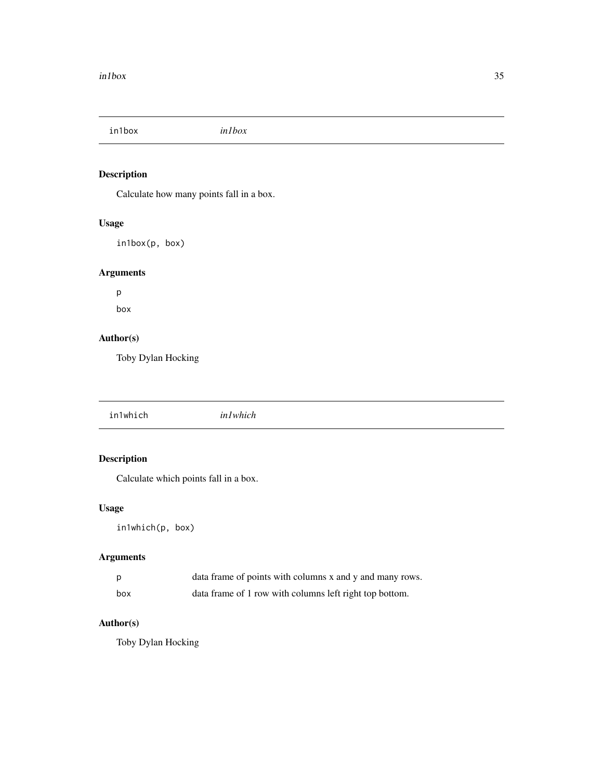<span id="page-34-0"></span>in1box *in1box*

### Description

Calculate how many points fall in a box.

### Usage

in1box(p, box)

### Arguments

p box

### Author(s)

Toby Dylan Hocking

in1which *in1which*

### Description

Calculate which points fall in a box.

### Usage

in1which(p, box)

### Arguments

|     | data frame of points with columns x and y and many rows. |
|-----|----------------------------------------------------------|
| box | data frame of 1 row with columns left right top bottom.  |

### Author(s)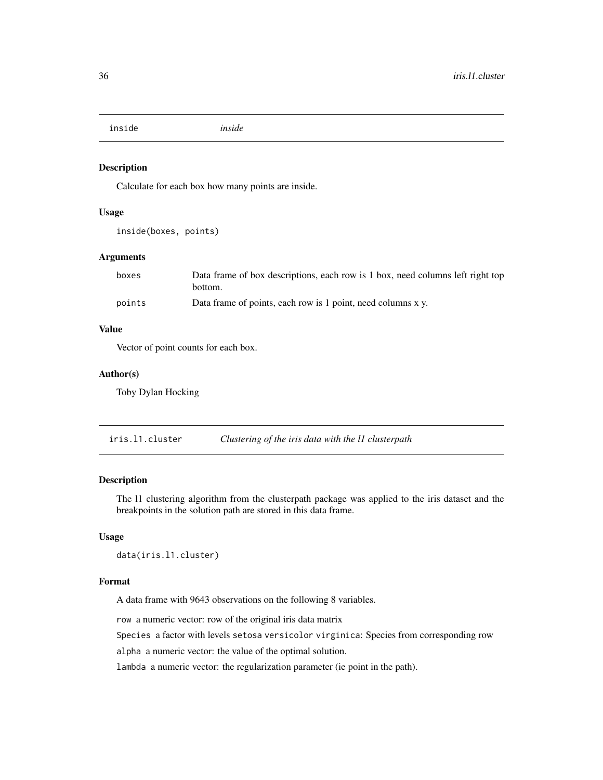<span id="page-35-0"></span>inside *inside*

### Description

Calculate for each box how many points are inside.

#### Usage

inside(boxes, points)

#### Arguments

| boxes  | Data frame of box descriptions, each row is 1 box, need columns left right top<br>bottom. |
|--------|-------------------------------------------------------------------------------------------|
| points | Data frame of points, each row is 1 point, need columns x y.                              |

#### Value

Vector of point counts for each box.

#### Author(s)

Toby Dylan Hocking

iris.l1.cluster *Clustering of the iris data with the l1 clusterpath*

### Description

The l1 clustering algorithm from the clusterpath package was applied to the iris dataset and the breakpoints in the solution path are stored in this data frame.

### Usage

```
data(iris.l1.cluster)
```
#### Format

A data frame with 9643 observations on the following 8 variables.

row a numeric vector: row of the original iris data matrix

Species a factor with levels setosa versicolor virginica: Species from corresponding row

alpha a numeric vector: the value of the optimal solution.

lambda a numeric vector: the regularization parameter (ie point in the path).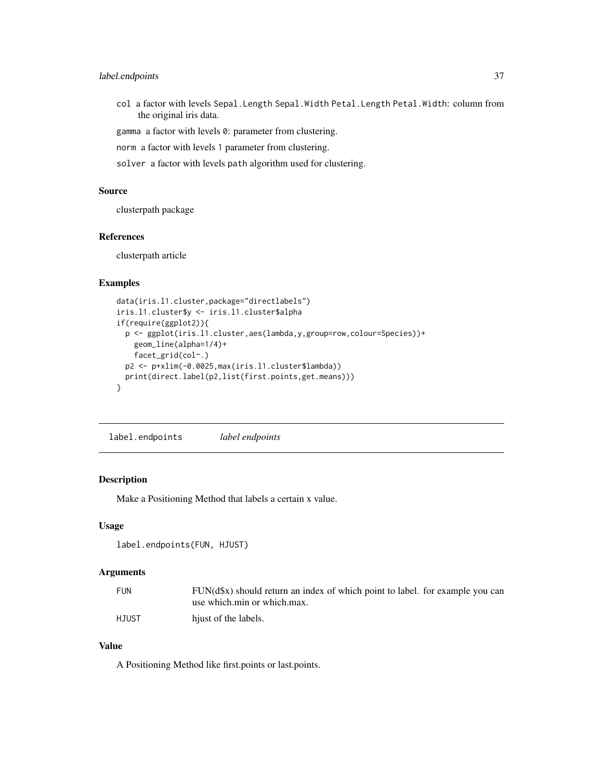### <span id="page-36-0"></span>label.endpoints 37

col a factor with levels Sepal.Length Sepal.Width Petal.Length Petal.Width: column from the original iris data.

gamma a factor with levels 0: parameter from clustering.

norm a factor with levels 1 parameter from clustering.

solver a factor with levels path algorithm used for clustering.

### Source

clusterpath package

#### References

clusterpath article

### Examples

```
data(iris.l1.cluster,package="directlabels")
iris.l1.cluster$y <- iris.l1.cluster$alpha
if(require(ggplot2)){
 p <- ggplot(iris.l1.cluster,aes(lambda,y,group=row,colour=Species))+
   geom_line(alpha=1/4)+
    facet_grid(col~.)
 p2 <- p+xlim(-0.0025,max(iris.l1.cluster$lambda))
 print(direct.label(p2,list(first.points,get.means)))
}
```
label.endpoints *label endpoints*

### Description

Make a Positioning Method that labels a certain x value.

### Usage

```
label.endpoints(FUN, HJUST)
```
### Arguments

| <b>FUN</b> | FUN(d\$x) should return an index of which point to label. for example you can |
|------------|-------------------------------------------------------------------------------|
|            | use which min or which max.                                                   |
| HJUST      | hiust of the labels.                                                          |

### Value

A Positioning Method like first.points or last.points.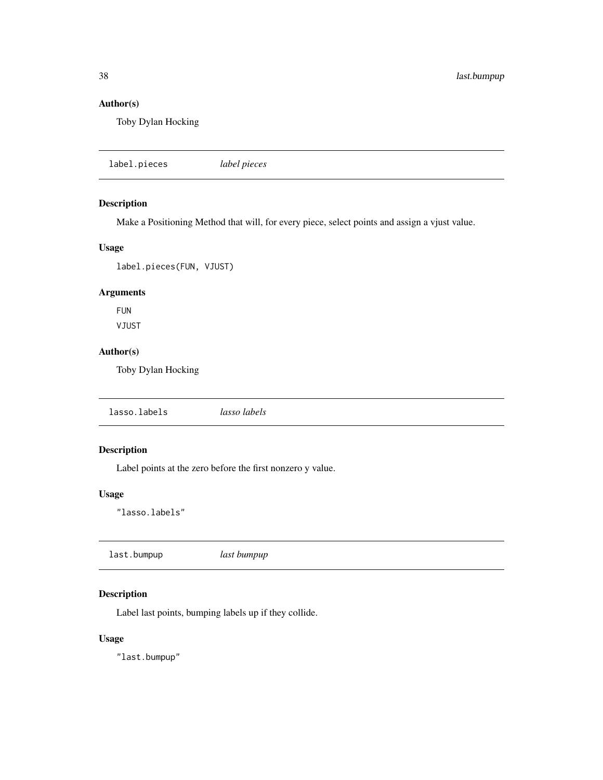### <span id="page-37-0"></span>Author(s)

Toby Dylan Hocking

| label pieces |
|--------------|
|              |

### Description

Make a Positioning Method that will, for every piece, select points and assign a vjust value.

### Usage

label.pieces(FUN, VJUST)

### Arguments

FUN VJUST

### Author(s)

Toby Dylan Hocking

lasso.labels *lasso labels*

### Description

Label points at the zero before the first nonzero y value.

#### Usage

"lasso.labels"

### Description

Label last points, bumping labels up if they collide.

### Usage

"last.bumpup"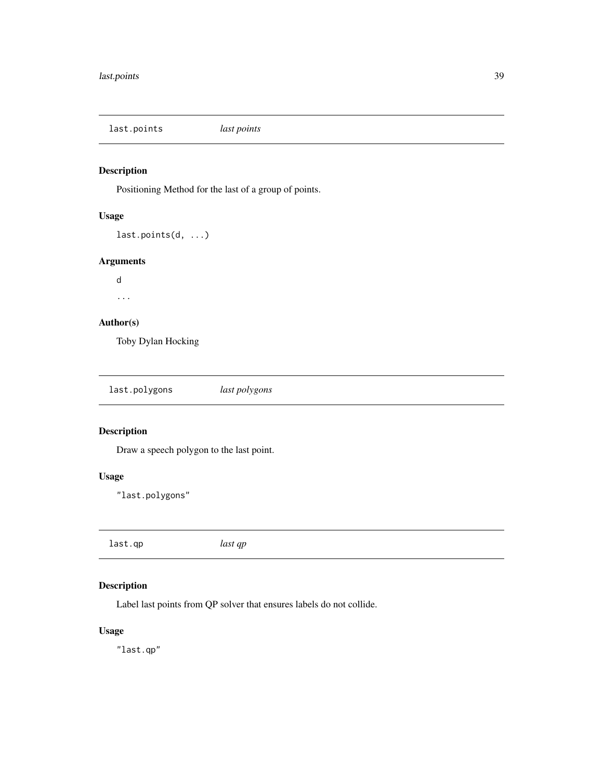<span id="page-38-0"></span>last.points *last points*

### Description

Positioning Method for the last of a group of points.

### Usage

last.points(d, ...)

### Arguments

d ...

## Author(s)

Toby Dylan Hocking

| last.polygons | last polygons |  |
|---------------|---------------|--|
|---------------|---------------|--|

### Description

Draw a speech polygon to the last point.

### Usage

"last.polygons"

last.qp *last qp*

### Description

Label last points from QP solver that ensures labels do not collide.

### Usage

"last.qp"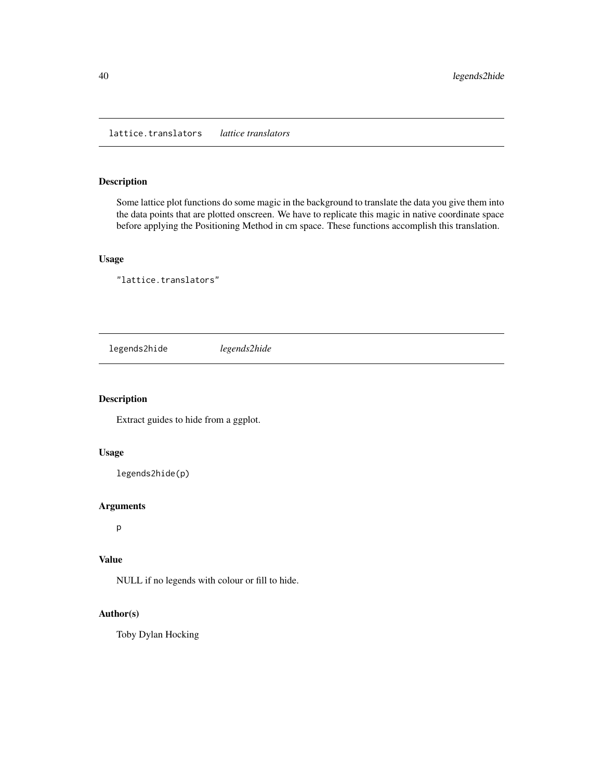### <span id="page-39-0"></span>Description

Some lattice plot functions do some magic in the background to translate the data you give them into the data points that are plotted onscreen. We have to replicate this magic in native coordinate space before applying the Positioning Method in cm space. These functions accomplish this translation.

### Usage

"lattice.translators"

legends2hide *legends2hide*

### Description

Extract guides to hide from a ggplot.

#### Usage

legends2hide(p)

#### Arguments

p

### Value

NULL if no legends with colour or fill to hide.

### Author(s)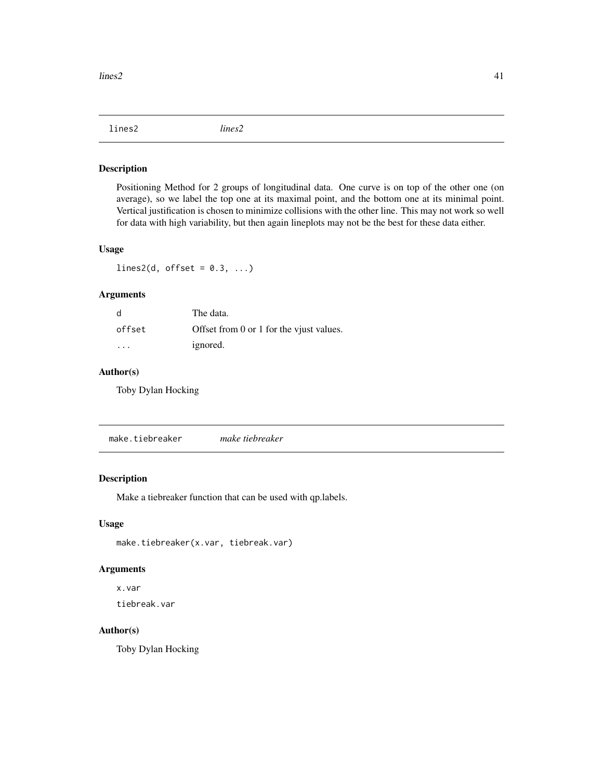<span id="page-40-0"></span>lines2 *lines2*

#### Description

Positioning Method for 2 groups of longitudinal data. One curve is on top of the other one (on average), so we label the top one at its maximal point, and the bottom one at its minimal point. Vertical justification is chosen to minimize collisions with the other line. This may not work so well for data with high variability, but then again lineplots may not be the best for these data either.

### Usage

lines2(d, offset =  $0.3, ...$ )

### Arguments

| d      | The data.                                |
|--------|------------------------------------------|
| offset | Offset from 0 or 1 for the viust values. |
| .      | ignored.                                 |

#### Author(s)

Toby Dylan Hocking

make.tiebreaker *make tiebreaker*

### Description

Make a tiebreaker function that can be used with qp.labels.

#### Usage

make.tiebreaker(x.var, tiebreak.var)

### Arguments

x.var

tiebreak.var

### Author(s)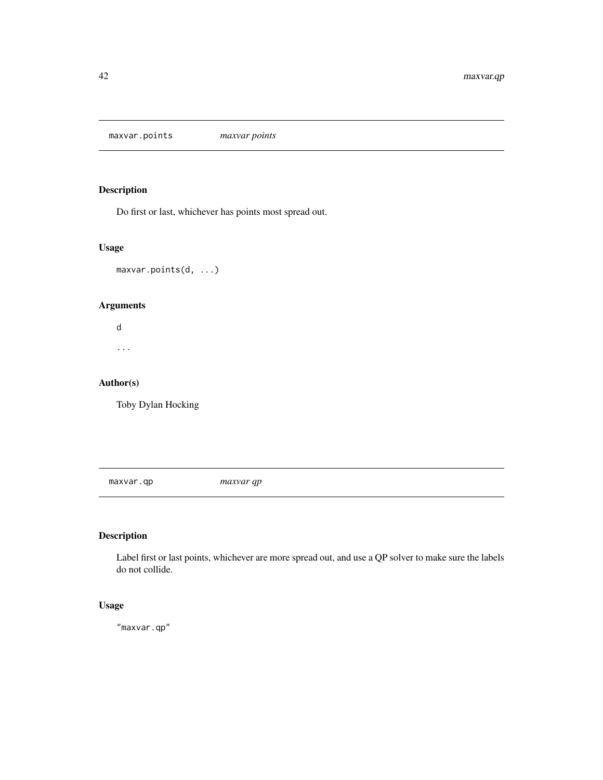<span id="page-41-0"></span>maxvar.points *maxvar points*

### Description

Do first or last, whichever has points most spread out.

### Usage

maxvar.points(d, ...)

### Arguments

d ...

### Author(s)

Toby Dylan Hocking

maxvar.qp *maxvar qp*

### Description

Label first or last points, whichever are more spread out, and use a QP solver to make sure the labels do not collide.

### Usage

"maxvar.qp"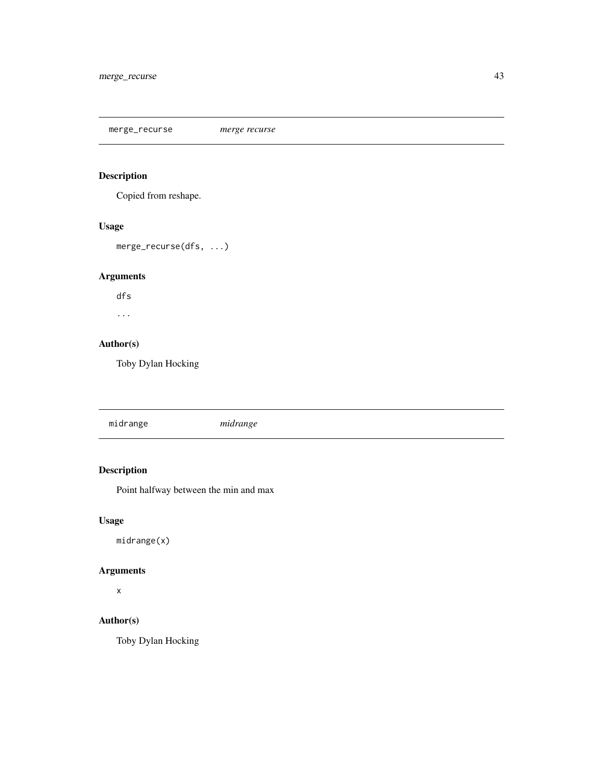<span id="page-42-0"></span>merge\_recurse *merge recurse*

### Description

Copied from reshape.

### Usage

merge\_recurse(dfs, ...)

### Arguments

dfs

...

### Author(s)

Toby Dylan Hocking

### Description

Point halfway between the min and max

### Usage

midrange(x)

### Arguments

x

### Author(s)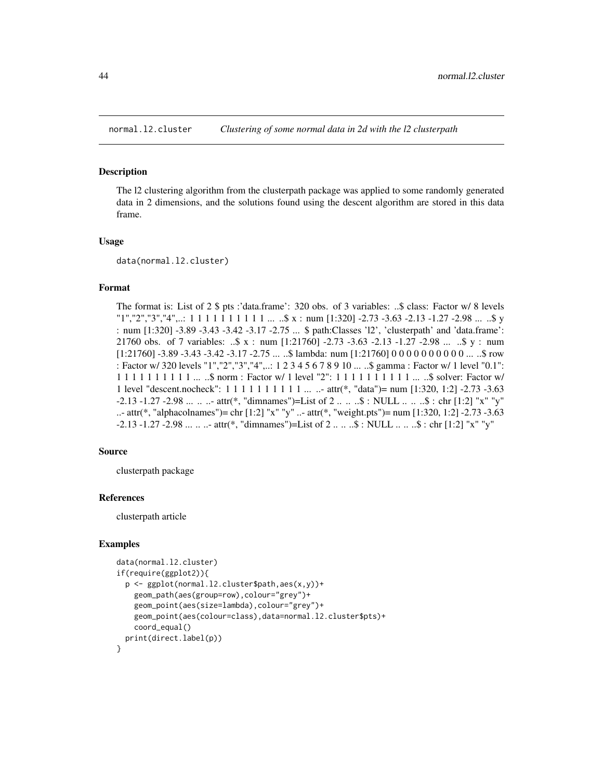<span id="page-43-0"></span>

#### Description

The l2 clustering algorithm from the clusterpath package was applied to some randomly generated data in 2 dimensions, and the solutions found using the descent algorithm are stored in this data frame.

#### Usage

data(normal.l2.cluster)

#### Format

The format is: List of 2 \$ pts :'data.frame': 320 obs. of 3 variables: ..\$ class: Factor w/ 8 levels  $"1", "2", "3", "4", \ldots 1 1 1 1 1 1 1 1 1 1 \ldots .$ \$ x : num [1:320] -2.73 -3.63 -2.13 -1.27 -2.98 ... ..\$ y : num [1:320] -3.89 -3.43 -3.42 -3.17 -2.75 ... \$ path:Classes 'l2', 'clusterpath' and 'data.frame': 21760 obs. of 7 variables: ..\$ x : num [1:21760] -2.73 -3.63 -2.13 -1.27 -2.98 ... ..\$ y : num  $[1:21760]$  -3.89 -3.43 -3.42 -3.17 -2.75 ... ..\$ lambda: num  $[1:21760]$  0 0 0 0 0 0 0 0 0 0 ... ..\$ row : Factor w/ 320 levels "1","2","3","4",..: 1 2 3 4 5 6 7 8 9 10 ... ..\$ gamma : Factor w/ 1 level "0.1": 1 1 1 1 1 1 1 1 1 1 ... ..\$ norm : Factor w/ 1 level "2": 1 1 1 1 1 1 1 1 1 1 ... ..\$ solver: Factor w/ 1 level "descent.nocheck": 1 1 1 1 1 1 1 1 1 1 ... ..- attr(\*, "data")= num [1:320, 1:2] -2.73 -3.63 -2.13 -1.27 -2.98 ... .. ..- attr(\*, "dimnames")=List of 2 .. .. ..\$ : NULL .. .. ..\$ : chr [1:2] "x" "y" ..- attr(\*, "alphacolnames")= chr [1:2] "x" "y" ..- attr(\*, "weight.pts")= num [1:320, 1:2] -2.73 -3.63 -2.13 -1.27 -2.98 ... .. ..- attr(\*, "dimnames")=List of 2 .. .. ..\$ : NULL .. .. ..\$ : chr [1:2] "x" "y"

#### Source

clusterpath package

### References

clusterpath article

#### Examples

```
data(normal.l2.cluster)
if(require(ggplot2)){
 p <- ggplot(normal.l2.cluster$path,aes(x,y))+
    geom_path(aes(group=row),colour="grey")+
    geom_point(aes(size=lambda),colour="grey")+
    geom_point(aes(colour=class),data=normal.l2.cluster$pts)+
    coord_equal()
 print(direct.label(p))
}
```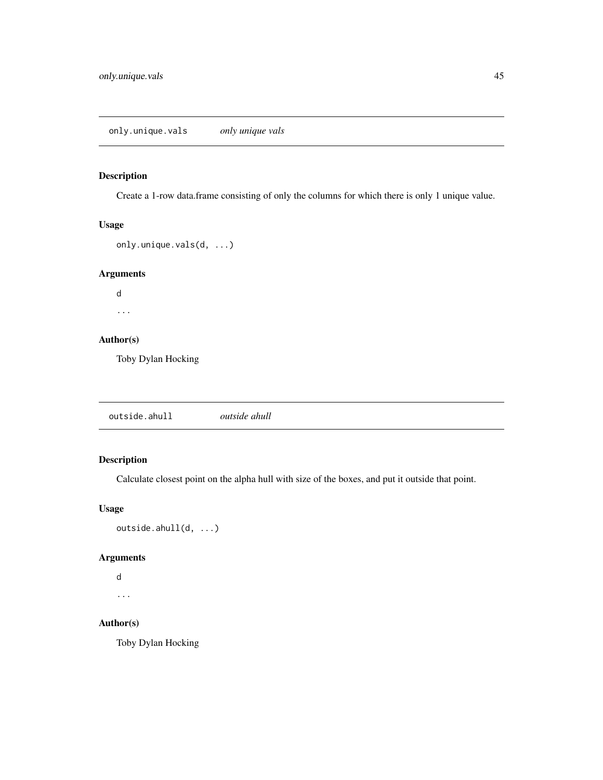### <span id="page-44-0"></span>Description

Create a 1-row data.frame consisting of only the columns for which there is only 1 unique value.

### Usage

```
only.unique.vals(d, ...)
```
### Arguments

d ...

### Author(s)

Toby Dylan Hocking

outside.ahull *outside ahull*

### Description

Calculate closest point on the alpha hull with size of the boxes, and put it outside that point.

### Usage

```
outside.ahull(d, ...)
```
### Arguments

```
d
```
...

### Author(s)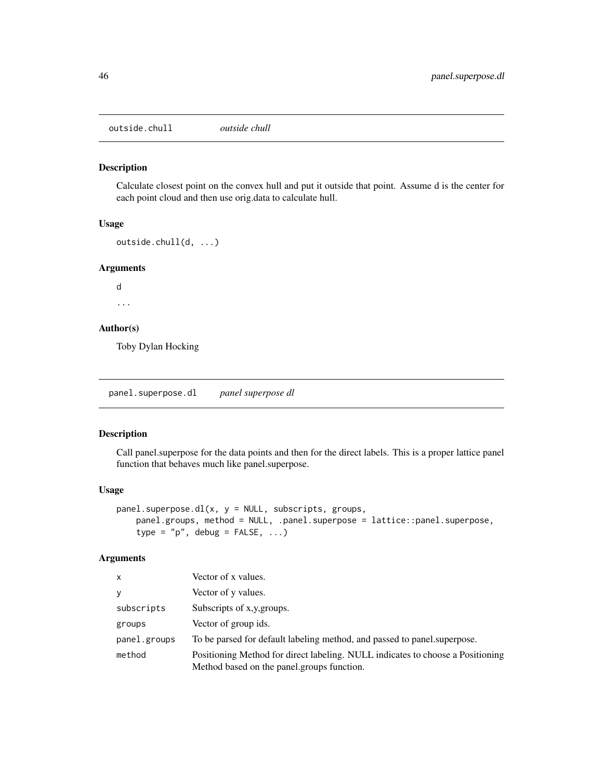<span id="page-45-0"></span>outside.chull *outside chull*

### Description

Calculate closest point on the convex hull and put it outside that point. Assume d is the center for each point cloud and then use orig.data to calculate hull.

#### Usage

```
outside.chull(d, ...)
```
#### Arguments

d

...

### Author(s)

Toby Dylan Hocking

panel.superpose.dl *panel superpose dl*

### Description

Call panel.superpose for the data points and then for the direct labels. This is a proper lattice panel function that behaves much like panel.superpose.

#### Usage

```
panel.\nsuperpose.dl(x, y = NULL, \nsubscripts, \ngroups,panel.groups, method = NULL, .panel.superpose = lattice::panel.superpose,
    type = "p", debug = FALSE, ...)
```
### Arguments

| $\mathsf{x}$ | Vector of x values.                                                                                                          |
|--------------|------------------------------------------------------------------------------------------------------------------------------|
| y            | Vector of y values.                                                                                                          |
| subscripts   | Subscripts of x,y, groups.                                                                                                   |
| groups       | Vector of group ids.                                                                                                         |
| panel.groups | To be parsed for default labeling method, and passed to panel superpose.                                                     |
| method       | Positioning Method for direct labeling. NULL indicates to choose a Positioning<br>Method based on the panel.groups function. |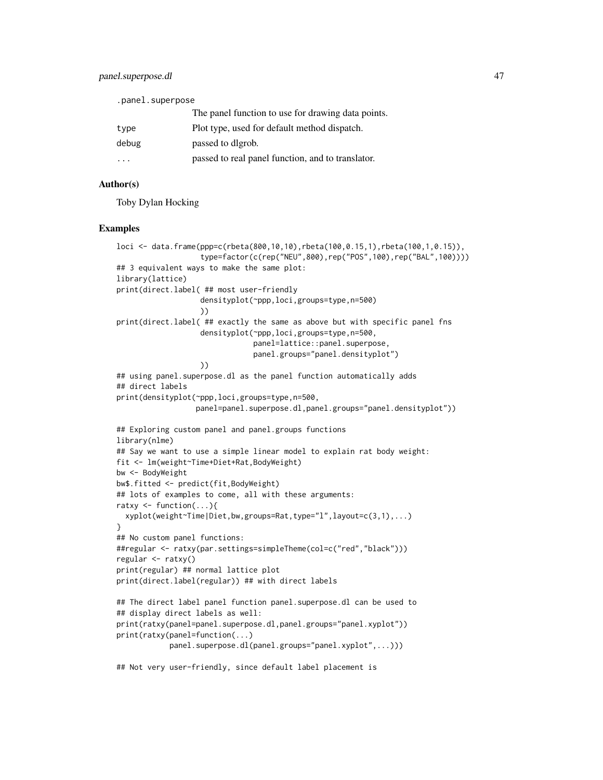### panel.superpose.dl 47

| .panel.superpose |                                                    |  |
|------------------|----------------------------------------------------|--|
|                  | The panel function to use for drawing data points. |  |
| type             | Plot type, used for default method dispatch.       |  |
| debug            | passed to digrob.                                  |  |
| .                | passed to real panel function, and to translator.  |  |

### Author(s)

Toby Dylan Hocking

#### Examples

```
loci <- data.frame(ppp=c(rbeta(800,10,10),rbeta(100,0.15,1),rbeta(100,1,0.15)),
                   type=factor(c(rep("NEU",800),rep("POS",100),rep("BAL",100))))
## 3 equivalent ways to make the same plot:
library(lattice)
print(direct.label( ## most user-friendly
                   densityplot(~ppp,loci,groups=type,n=500)
                   ))
print(direct.label( ## exactly the same as above but with specific panel fns
                   densityplot(~ppp,loci,groups=type,n=500,
                               panel=lattice::panel.superpose,
                               panel.groups="panel.densityplot")
                   ))
## using panel.superpose.dl as the panel function automatically adds
## direct labels
print(densityplot(~ppp,loci,groups=type,n=500,
                  panel=panel.superpose.dl,panel.groups="panel.densityplot"))
## Exploring custom panel and panel.groups functions
library(nlme)
## Say we want to use a simple linear model to explain rat body weight:
fit <- lm(weight~Time+Diet+Rat,BodyWeight)
bw <- BodyWeight
bw$.fitted <- predict(fit,BodyWeight)
## lots of examples to come, all with these arguments:
ratxy \leq function(...){
 xyplot(weight~Time|Diet,bw,groups=Rat,type="l",layout=c(3,1),...)
}
## No custom panel functions:
##regular <- ratxy(par.settings=simpleTheme(col=c("red","black")))
regular <- ratxy()
print(regular) ## normal lattice plot
print(direct.label(regular)) ## with direct labels
## The direct label panel function panel.superpose.dl can be used to
## display direct labels as well:
print(ratxy(panel=panel.superpose.dl,panel.groups="panel.xyplot"))
print(ratxy(panel=function(...)
            panel.superpose.dl(panel.groups="panel.xyplot",...)))
## Not very user-friendly, since default label placement is
```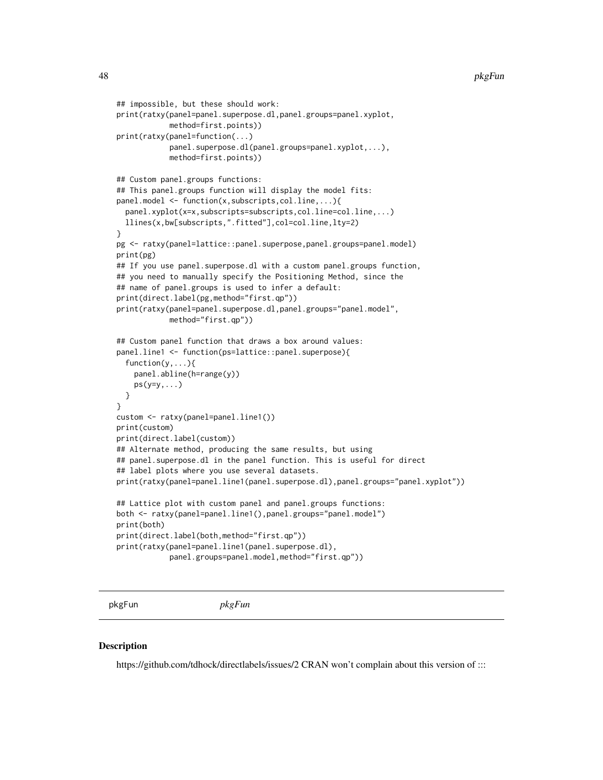```
## impossible, but these should work:
print(ratxy(panel=panel.superpose.dl,panel.groups=panel.xyplot,
            method=first.points))
print(ratxy(panel=function(...)
            panel.superpose.dl(panel.groups=panel.xyplot,...),
            method=first.points))
## Custom panel.groups functions:
## This panel.groups function will display the model fits:
panel.model <- function(x,subscripts,col.line,...){
 panel.xyplot(x=x,subscripts=subscripts,col.line=col.line,...)
 llines(x,bw[subscripts,".fitted"],col=col.line,lty=2)
}
pg <- ratxy(panel=lattice::panel.superpose,panel.groups=panel.model)
print(pg)
## If you use panel.superpose.dl with a custom panel.groups function,
## you need to manually specify the Positioning Method, since the
## name of panel.groups is used to infer a default:
print(direct.label(pg,method="first.qp"))
print(ratxy(panel=panel.superpose.dl,panel.groups="panel.model",
            method="first.qp"))
## Custom panel function that draws a box around values:
panel.line1 <- function(ps=lattice::panel.superpose){
 function(y,...){
   panel.abline(h=range(y))
    ps(y=y,...)}
}
custom <- ratxy(panel=panel.line1())
print(custom)
print(direct.label(custom))
## Alternate method, producing the same results, but using
## panel.superpose.dl in the panel function. This is useful for direct
## label plots where you use several datasets.
print(ratxy(panel=panel.line1(panel.superpose.dl),panel.groups="panel.xyplot"))
## Lattice plot with custom panel and panel.groups functions:
both <- ratxy(panel=panel.line1(),panel.groups="panel.model")
print(both)
print(direct.label(both,method="first.qp"))
print(ratxy(panel=panel.line1(panel.superpose.dl),
            panel.groups=panel.model,method="first.qp"))
```

```
pkgFun pkgFun
```
#### **Description**

https://github.com/tdhock/directlabels/issues/2 CRAN won't complain about this version of :::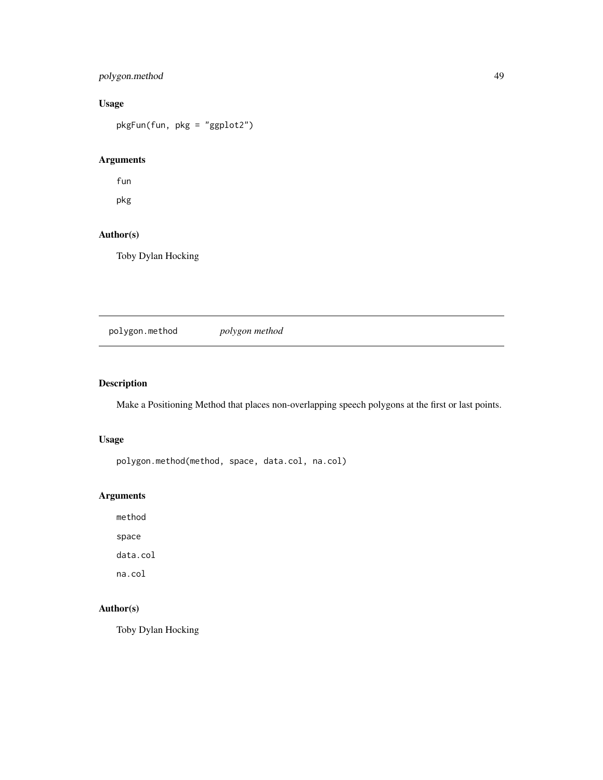### <span id="page-48-0"></span>polygon.method 49

### Usage

pkgFun(fun, pkg = "ggplot2")

### Arguments

fun

pkg

### Author(s)

Toby Dylan Hocking

polygon.method *polygon method*

### Description

Make a Positioning Method that places non-overlapping speech polygons at the first or last points.

### Usage

polygon.method(method, space, data.col, na.col)

### Arguments

method

space

data.col

na.col

### Author(s)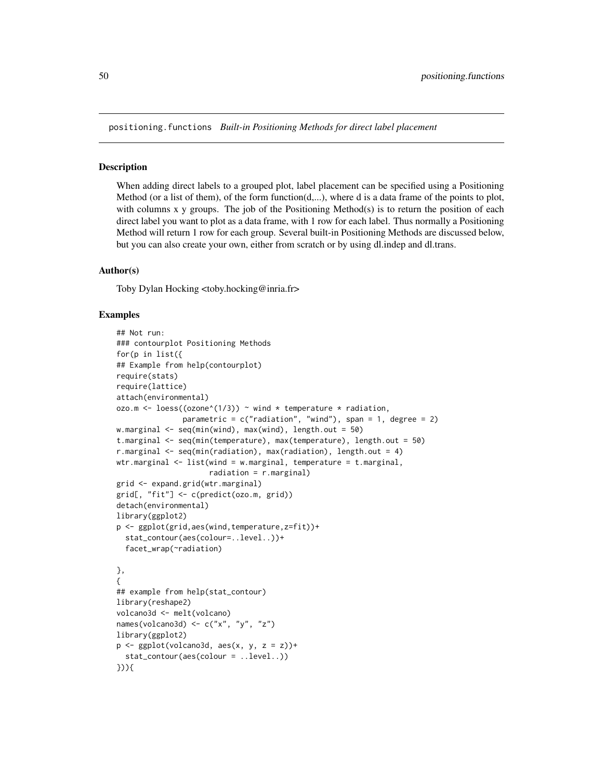<span id="page-49-0"></span>positioning.functions *Built-in Positioning Methods for direct label placement*

#### **Description**

When adding direct labels to a grouped plot, label placement can be specified using a Positioning Method (or a list of them), of the form function $(d,...)$ , where d is a data frame of the points to plot, with columns x y groups. The job of the Positioning Method(s) is to return the position of each direct label you want to plot as a data frame, with 1 row for each label. Thus normally a Positioning Method will return 1 row for each group. Several built-in Positioning Methods are discussed below, but you can also create your own, either from scratch or by using dl.indep and dl.trans.

#### Author(s)

Toby Dylan Hocking <toby.hocking@inria.fr>

### Examples

```
## Not run:
### contourplot Positioning Methods
for(p in list({
## Example from help(contourplot)
require(stats)
require(lattice)
attach(environmental)
ozo.m <- loess((ozone(1/3)) ~ wind * temperature * radiation,
               parametric = c("radiation", "wind"), span = 1, degree = 2)w.marginal <- seq(min(wind), max(wind), length.out = 50)
t.marginal <- seq(min(temperature), max(temperature), length.out = 50)
r.marginal \leq seq(min(radiation), max(radiation), length.out = 4)
wtr.marginal <- list(wind = w.marginal, temperature = t.marginal,
                      radiation = r.marginal)
grid <- expand.grid(wtr.marginal)
grid[, "fit"] <- c(predict(ozo.m, grid))
detach(environmental)
library(ggplot2)
p <- ggplot(grid,aes(wind,temperature,z=fit))+
  stat_contour(aes(colour=..level..))+
  facet_wrap(~radiation)
},
{
## example from help(stat_contour)
library(reshape2)
volcano3d <- melt(volcano)
names(volcano3d) <- c("x", "y", "z")
library(ggplot2)
p \leftarrow \text{ggplot}(\text{volcano3d}, \text{aes}(x, y, z = z)) +stat_contour(aes(colour = ..level..))
})){
```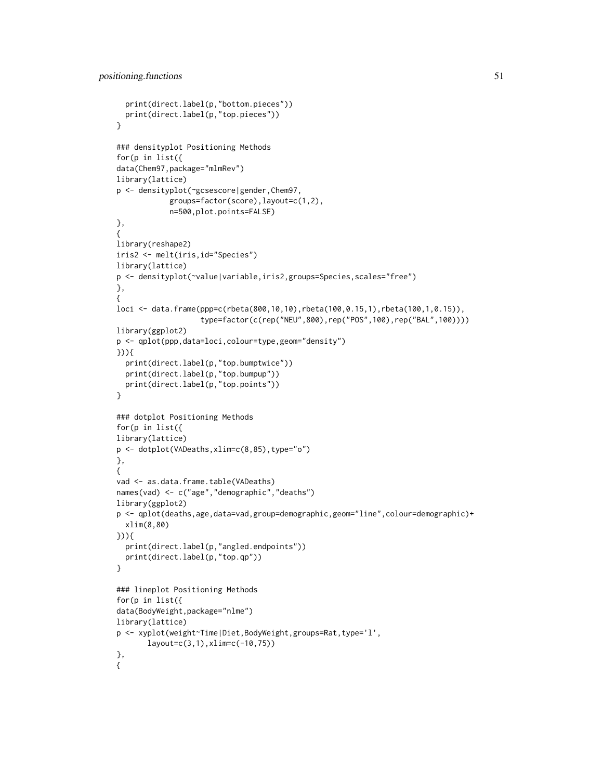```
print(direct.label(p,"bottom.pieces"))
  print(direct.label(p,"top.pieces"))
}
### densityplot Positioning Methods
for(p in list({
data(Chem97,package="mlmRev")
library(lattice)
p <- densityplot(~gcsescore|gender,Chem97,
            groups=factor(score),layout=c(1,2),
            n=500,plot.points=FALSE)
},
{
library(reshape2)
iris2 <- melt(iris,id="Species")
library(lattice)
p <- densityplot(~value|variable,iris2,groups=Species,scales="free")
},
{
loci <- data.frame(ppp=c(rbeta(800,10,10),rbeta(100,0.15,1),rbeta(100,1,0.15)),
                   type=factor(c(rep("NEU",800),rep("POS",100),rep("BAL",100))))
library(ggplot2)
p <- qplot(ppp,data=loci,colour=type,geom="density")
})){
  print(direct.label(p,"top.bumptwice"))
  print(direct.label(p,"top.bumpup"))
  print(direct.label(p,"top.points"))
}
### dotplot Positioning Methods
for(p in list({
library(lattice)
p <- dotplot(VADeaths,xlim=c(8,85),type="o")
},
{
vad <- as.data.frame.table(VADeaths)
names(vad) <- c("age","demographic","deaths")
library(ggplot2)
p <- qplot(deaths,age,data=vad,group=demographic,geom="line",colour=demographic)+
  xlim(8,80)
})){
  print(direct.label(p,"angled.endpoints"))
  print(direct.label(p,"top.qp"))
}
### lineplot Positioning Methods
for(p in list({
data(BodyWeight,package="nlme")
library(lattice)
p <- xyplot(weight~Time|Diet,BodyWeight,groups=Rat,type='l',
       layout=c(3,1),xlim=c(-10,75))
},
{
```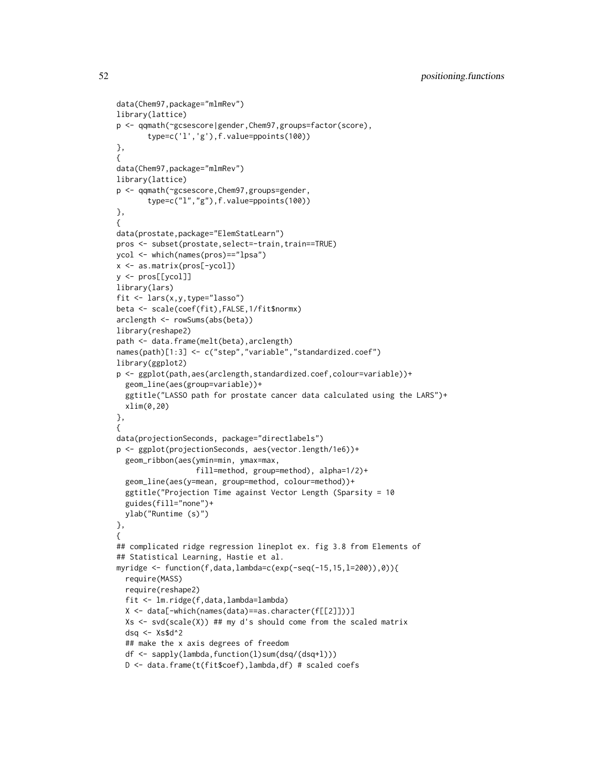```
data(Chem97,package="mlmRev")
library(lattice)
p <- qqmath(~gcsescore|gender,Chem97,groups=factor(score),
       type=c('l','g'),f.value=ppoints(100))
},
{
data(Chem97,package="mlmRev")
library(lattice)
p <- qqmath(~gcsescore,Chem97,groups=gender,
       type=c("l","g"),f.value=ppoints(100))
},
{
data(prostate,package="ElemStatLearn")
pros <- subset(prostate,select=-train,train==TRUE)
ycol <- which(names(pros)=="lpsa")
x <- as.matrix(pros[-ycol])
y <- pros[[ycol]]
library(lars)
fit <- lars(x,y,type="lasso")
beta <- scale(coef(fit),FALSE,1/fit$normx)
arclength <- rowSums(abs(beta))
library(reshape2)
path <- data.frame(melt(beta),arclength)
names(path)[1:3] <- c("step","variable","standardized.coef")
library(ggplot2)
p <- ggplot(path,aes(arclength,standardized.coef,colour=variable))+
  geom_line(aes(group=variable))+
  ggtitle("LASSO path for prostate cancer data calculated using the LARS")+
  xlim(0,20)
},
{
data(projectionSeconds, package="directlabels")
p <- ggplot(projectionSeconds, aes(vector.length/1e6))+
  geom_ribbon(aes(ymin=min, ymax=max,
                  fill=method, group=method), alpha=1/2)+
  geom_line(aes(y=mean, group=method, colour=method))+
  ggtitle("Projection Time against Vector Length (Sparsity = 10
  guides(fill="none")+
  ylab("Runtime (s)")
},
{
## complicated ridge regression lineplot ex. fig 3.8 from Elements of
## Statistical Learning, Hastie et al.
myridge <- function(f,data,lambda=c(exp(-seq(-15,15,l=200)),0)){
  require(MASS)
  require(reshape2)
  fit <- lm.ridge(f,data,lambda=lambda)
  X <- data[-which(names(data)==as.character(f[[2]]))]
  Xs \leq svd(scale(X)) ## my d's should come from the scaled matrix
  dsq <- Xs$d^2
  ## make the x axis degrees of freedom
  df <- sapply(lambda,function(l)sum(dsq/(dsq+l)))
  D <- data.frame(t(fit$coef),lambda,df) # scaled coefs
```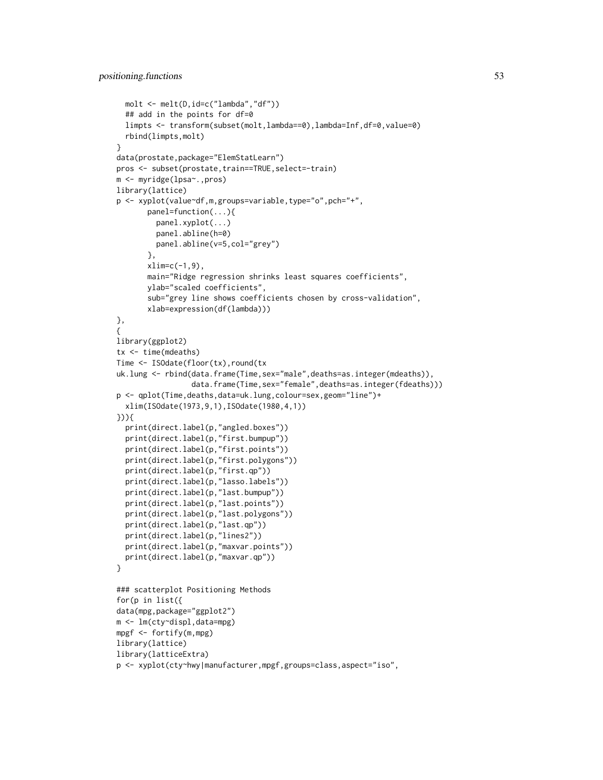```
molt <- melt(D,id=c("lambda","df"))
  ## add in the points for df=0
  limpts <- transform(subset(molt,lambda==0),lambda=Inf,df=0,value=0)
  rbind(limpts,molt)
}
data(prostate,package="ElemStatLearn")
pros <- subset(prostate,train==TRUE,select=-train)
m <- myridge(lpsa~.,pros)
library(lattice)
p <- xyplot(value~df,m,groups=variable,type="o",pch="+",
       panel=function(...){
         panel.xyplot(...)
         panel.abline(h=0)
         panel.abline(v=5,col="grey")
       },
       xlim=c(-1,9),
       main="Ridge regression shrinks least squares coefficients",
       ylab="scaled coefficients",
       sub="grey line shows coefficients chosen by cross-validation",
       xlab=expression(df(lambda)))
},
{
library(ggplot2)
tx <- time(mdeaths)
Time <- ISOdate(floor(tx),round(tx
uk.lung <- rbind(data.frame(Time,sex="male",deaths=as.integer(mdeaths)),
                 data.frame(Time,sex="female",deaths=as.integer(fdeaths)))
p <- qplot(Time,deaths,data=uk.lung,colour=sex,geom="line")+
  xlim(ISOdate(1973,9,1),ISOdate(1980,4,1))
})){
  print(direct.label(p,"angled.boxes"))
  print(direct.label(p,"first.bumpup"))
  print(direct.label(p,"first.points"))
  print(direct.label(p,"first.polygons"))
  print(direct.label(p,"first.qp"))
  print(direct.label(p,"lasso.labels"))
  print(direct.label(p,"last.bumpup"))
  print(direct.label(p,"last.points"))
  print(direct.label(p,"last.polygons"))
  print(direct.label(p,"last.qp"))
  print(direct.label(p,"lines2"))
  print(direct.label(p,"maxvar.points"))
  print(direct.label(p,"maxvar.qp"))
}
### scatterplot Positioning Methods
for(p in list({
data(mpg,package="ggplot2")
m <- lm(cty~displ,data=mpg)
mpgf <- fortify(m,mpg)
library(lattice)
library(latticeExtra)
p <- xyplot(cty~hwy|manufacturer,mpgf,groups=class,aspect="iso",
```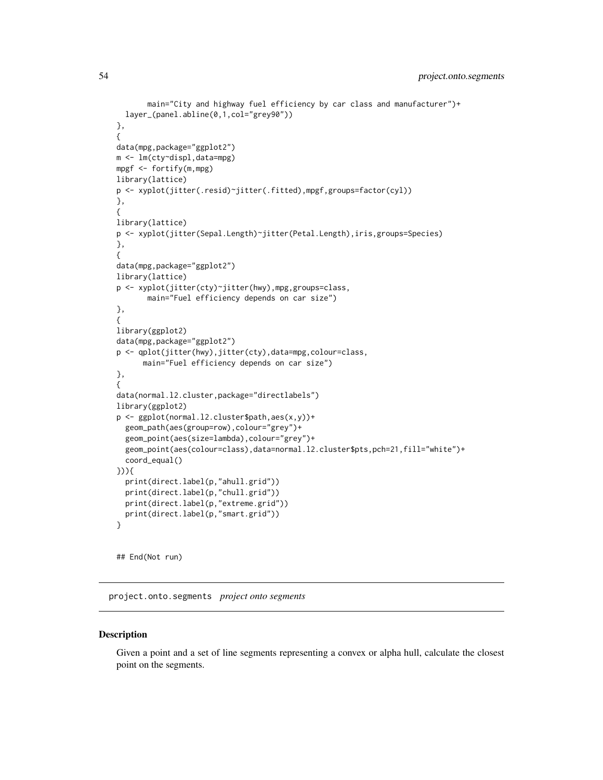```
main="City and highway fuel efficiency by car class and manufacturer")+
  layer_(panel.abline(0,1,col="grey90"))
},
{
data(mpg,package="ggplot2")
m <- lm(cty~displ,data=mpg)
mpgf <- fortify(m,mpg)
library(lattice)
p <- xyplot(jitter(.resid)~jitter(.fitted),mpgf,groups=factor(cyl))
},
{
library(lattice)
p <- xyplot(jitter(Sepal.Length)~jitter(Petal.Length),iris,groups=Species)
},
{
data(mpg,package="ggplot2")
library(lattice)
p <- xyplot(jitter(cty)~jitter(hwy),mpg,groups=class,
       main="Fuel efficiency depends on car size")
},
{
library(ggplot2)
data(mpg,package="ggplot2")
p <- qplot(jitter(hwy),jitter(cty),data=mpg,colour=class,
      main="Fuel efficiency depends on car size")
},
{
data(normal.l2.cluster,package="directlabels")
library(ggplot2)
p <- ggplot(normal.l2.cluster$path,aes(x,y))+
  geom_path(aes(group=row),colour="grey")+
  geom_point(aes(size=lambda),colour="grey")+
  geom_point(aes(colour=class),data=normal.l2.cluster$pts,pch=21,fill="white")+
  coord_equal()
})){
  print(direct.label(p,"ahull.grid"))
  print(direct.label(p,"chull.grid"))
  print(direct.label(p,"extreme.grid"))
  print(direct.label(p,"smart.grid"))
}
```
## End(Not run)

project.onto.segments *project onto segments*

### **Description**

Given a point and a set of line segments representing a convex or alpha hull, calculate the closest point on the segments.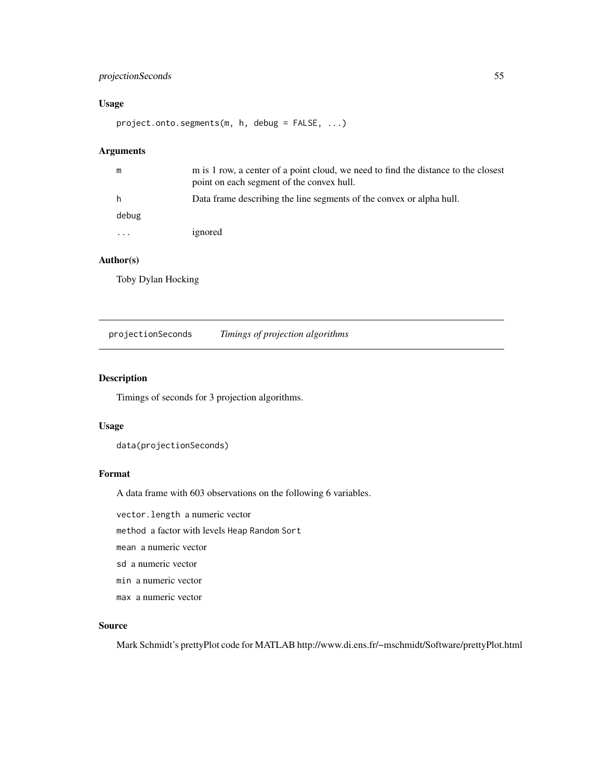### <span id="page-54-0"></span>projectionSeconds 55

### Usage

project.onto.segments(m, h, debug = FALSE, ...)

### Arguments

| m        | m is 1 row, a center of a point cloud, we need to find the distance to the closest<br>point on each segment of the convex hull. |
|----------|---------------------------------------------------------------------------------------------------------------------------------|
| h        | Data frame describing the line segments of the convex or alpha hull.                                                            |
| debug    |                                                                                                                                 |
| $\cdots$ | ignored                                                                                                                         |

### Author(s)

Toby Dylan Hocking

projectionSeconds *Timings of projection algorithms*

### **Description**

Timings of seconds for 3 projection algorithms.

#### Usage

data(projectionSeconds)

### Format

A data frame with 603 observations on the following 6 variables.

vector.length a numeric vector

method a factor with levels Heap Random Sort

mean a numeric vector

sd a numeric vector

- min a numeric vector
- max a numeric vector

### Source

Mark Schmidt's prettyPlot code for MATLAB http://www.di.ens.fr/~mschmidt/Software/prettyPlot.html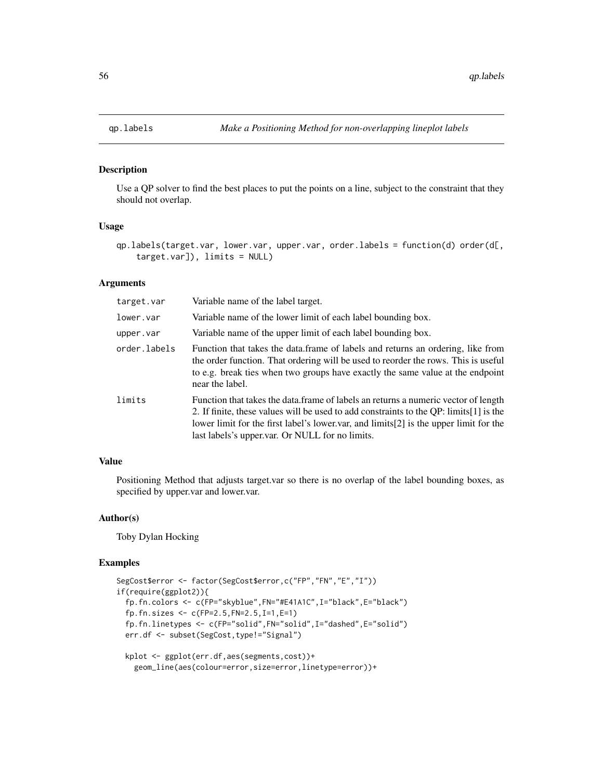#### Description

Use a QP solver to find the best places to put the points on a line, subject to the constraint that they should not overlap.

### Usage

```
qp.labels(target.var, lower.var, upper.var, order.labels = function(d) order(d[,
    target.var]), limits = NULL)
```
### **Arguments**

| target.var   | Variable name of the label target.                                                                                                                                                                                                                                                                                         |
|--------------|----------------------------------------------------------------------------------------------------------------------------------------------------------------------------------------------------------------------------------------------------------------------------------------------------------------------------|
| lower.var    | Variable name of the lower limit of each label bounding box.                                                                                                                                                                                                                                                               |
| upper.var    | Variable name of the upper limit of each label bounding box.                                                                                                                                                                                                                                                               |
| order.labels | Function that takes the data.frame of labels and returns an ordering, like from<br>the order function. That ordering will be used to reorder the rows. This is useful<br>to e.g. break ties when two groups have exactly the same value at the endpoint<br>near the label.                                                 |
| limits       | Function that takes the data.frame of labels an returns a numeric vector of length<br>2. If finite, these values will be used to add constraints to the QP: limits [1] is the<br>lower limit for the first label's lower var, and limits [2] is the upper limit for the<br>last labels's upper.var. Or NULL for no limits. |

### Value

Positioning Method that adjusts target.var so there is no overlap of the label bounding boxes, as specified by upper.var and lower.var.

#### Author(s)

Toby Dylan Hocking

#### Examples

```
SegCost$error <- factor(SegCost$error,c("FP","FN","E","I"))
if(require(ggplot2)){
 fp.fn.colors <- c(FP="skyblue",FN="#E41A1C",I="black",E="black")
 fp.fn.sizes <- c(FP=2.5,FN=2.5,I=1,E=1)
 fp.fn.linetypes <- c(FP="solid",FN="solid",I="dashed",E="solid")
 err.df <- subset(SegCost,type!="Signal")
 kplot <- ggplot(err.df,aes(segments,cost))+
   geom_line(aes(colour=error,size=error,linetype=error))+
```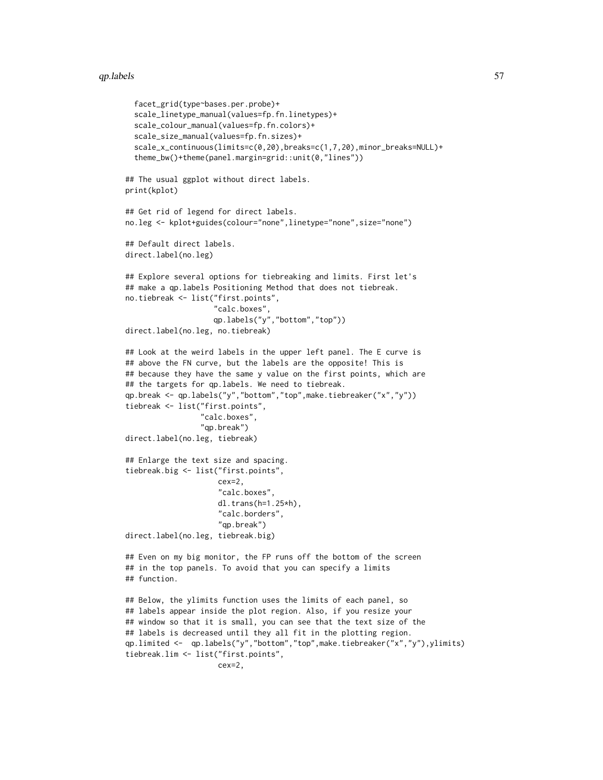#### qp.labels 57

```
facet_grid(type~bases.per.probe)+
  scale_linetype_manual(values=fp.fn.linetypes)+
  scale_colour_manual(values=fp.fn.colors)+
  scale_size_manual(values=fp.fn.sizes)+
  scale_x_continuous(limits=c(0,20),breaks=c(1,7,20),minor_breaks=NULL)+
  theme_bw()+theme(panel.margin=grid::unit(0,"lines"))
## The usual ggplot without direct labels.
print(kplot)
## Get rid of legend for direct labels.
no.leg <- kplot+guides(colour="none",linetype="none",size="none")
## Default direct labels.
direct.label(no.leg)
## Explore several options for tiebreaking and limits. First let's
## make a qp.labels Positioning Method that does not tiebreak.
no.tiebreak <- list("first.points",
                    "calc.boxes",
                    qp.labels("y","bottom","top"))
direct.label(no.leg, no.tiebreak)
## Look at the weird labels in the upper left panel. The E curve is
## above the FN curve, but the labels are the opposite! This is
## because they have the same y value on the first points, which are
## the targets for qp.labels. We need to tiebreak.
qp.break <- qp.labels("y","bottom","top",make.tiebreaker("x","y"))
tiebreak <- list("first.points",
                 "calc.boxes",
                 "qp.break")
direct.label(no.leg, tiebreak)
## Enlarge the text size and spacing.
tiebreak.big <- list("first.points",
                     cex=2,
                     "calc.boxes",
                     dl.trans(h=1.25*h),
                     "calc.borders",
                     "qp.break")
direct.label(no.leg, tiebreak.big)
## Even on my big monitor, the FP runs off the bottom of the screen
## in the top panels. To avoid that you can specify a limits
## function.
## Below, the ylimits function uses the limits of each panel, so
## labels appear inside the plot region. Also, if you resize your
## window so that it is small, you can see that the text size of the
## labels is decreased until they all fit in the plotting region.
qp.limited <- qp.labels("y","bottom","top",make.tiebreaker("x","y"),ylimits)
tiebreak.lim <- list("first.points",
                     cex=2,
```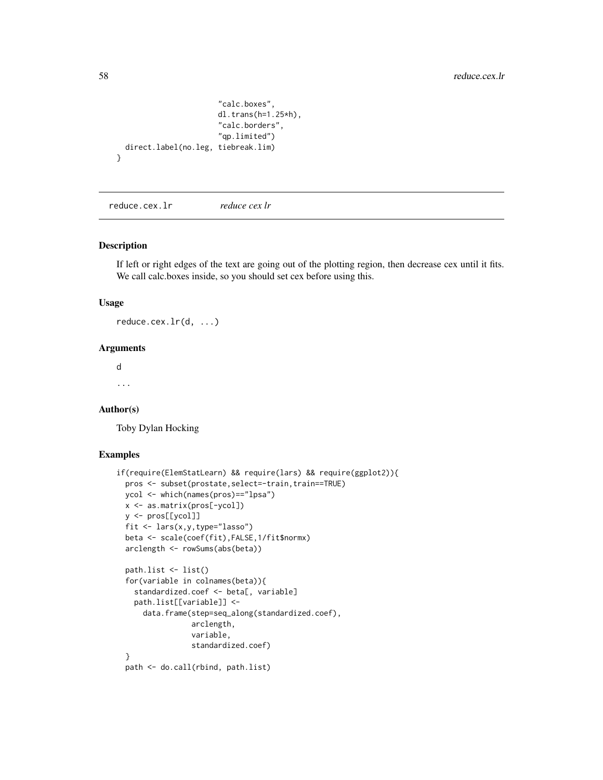```
"calc.boxes",
                       dl.trans(h=1.25*h),
                       "calc.borders",
                       "qp.limited")
 direct.label(no.leg, tiebreak.lim)
}
```
reduce.cex.lr *reduce cex lr*

### Description

If left or right edges of the text are going out of the plotting region, then decrease cex until it fits. We call calc.boxes inside, so you should set cex before using this.

### Usage

reduce.cex.lr(d, ...)

#### Arguments

d ...

#### Author(s)

Toby Dylan Hocking

### Examples

```
if(require(ElemStatLearn) && require(lars) && require(ggplot2)){
 pros <- subset(prostate,select=-train,train==TRUE)
 ycol <- which(names(pros)=="lpsa")
 x <- as.matrix(pros[-ycol])
 y <- pros[[ycol]]
 fit <- lars(x,y,type="lasso")
 beta <- scale(coef(fit),FALSE,1/fit$normx)
 arclength <- rowSums(abs(beta))
 path.list <- list()
 for(variable in colnames(beta)){
   standardized.coef <- beta[, variable]
   path.list[[variable]] <-
     data.frame(step=seq_along(standardized.coef),
                 arclength,
                 variable,
                 standardized.coef)
 }
 path <- do.call(rbind, path.list)
```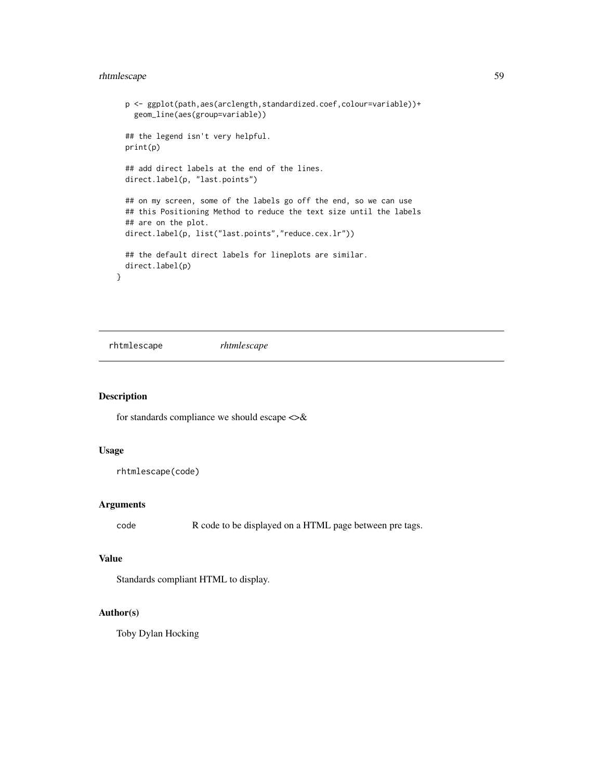### <span id="page-58-0"></span>rhtmlescape 59

```
p <- ggplot(path,aes(arclength,standardized.coef,colour=variable))+
 geom_line(aes(group=variable))
## the legend isn't very helpful.
print(p)
## add direct labels at the end of the lines.
direct.label(p, "last.points")
## on my screen, some of the labels go off the end, so we can use
## this Positioning Method to reduce the text size until the labels
## are on the plot.
direct.label(p, list("last.points","reduce.cex.lr"))
## the default direct labels for lineplots are similar.
direct.label(p)
```
rhtmlescape *rhtmlescape*

### Description

}

for standards compliance we should escape  $\langle \rangle \&$ 

### Usage

```
rhtmlescape(code)
```
### Arguments

code R code to be displayed on a HTML page between pre tags.

### Value

Standards compliant HTML to display.

#### Author(s)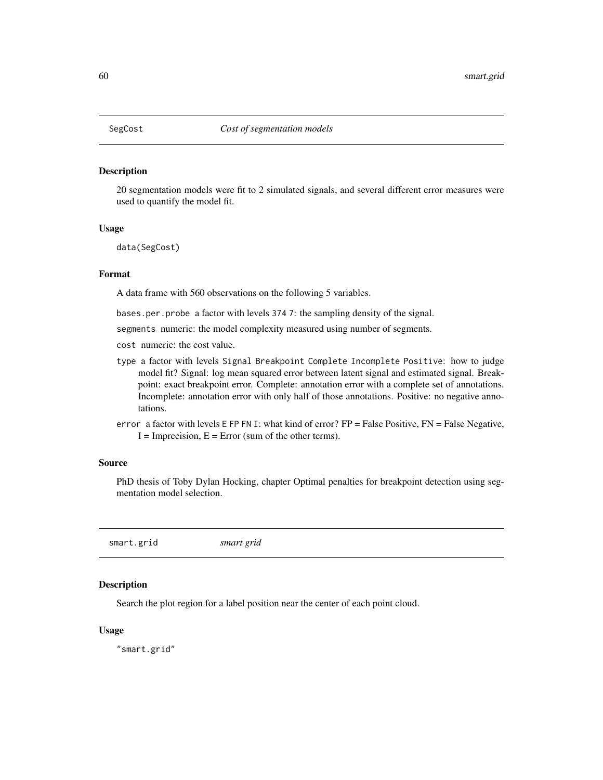<span id="page-59-0"></span>

#### Description

20 segmentation models were fit to 2 simulated signals, and several different error measures were used to quantify the model fit.

#### Usage

data(SegCost)

#### Format

A data frame with 560 observations on the following 5 variables.

bases.per.probe a factor with levels 374 7: the sampling density of the signal.

segments numeric: the model complexity measured using number of segments.

- cost numeric: the cost value.
- type a factor with levels Signal Breakpoint Complete Incomplete Positive: how to judge model fit? Signal: log mean squared error between latent signal and estimated signal. Breakpoint: exact breakpoint error. Complete: annotation error with a complete set of annotations. Incomplete: annotation error with only half of those annotations. Positive: no negative annotations.
- error a factor with levels E FP FN I: what kind of error? FP = False Positive, FN = False Negative,  $I = \text{Imprecision}$ ,  $E = \text{Error}$  (sum of the other terms).

#### Source

PhD thesis of Toby Dylan Hocking, chapter Optimal penalties for breakpoint detection using segmentation model selection.

smart.grid *smart grid*

### **Description**

Search the plot region for a label position near the center of each point cloud.

### Usage

"smart.grid"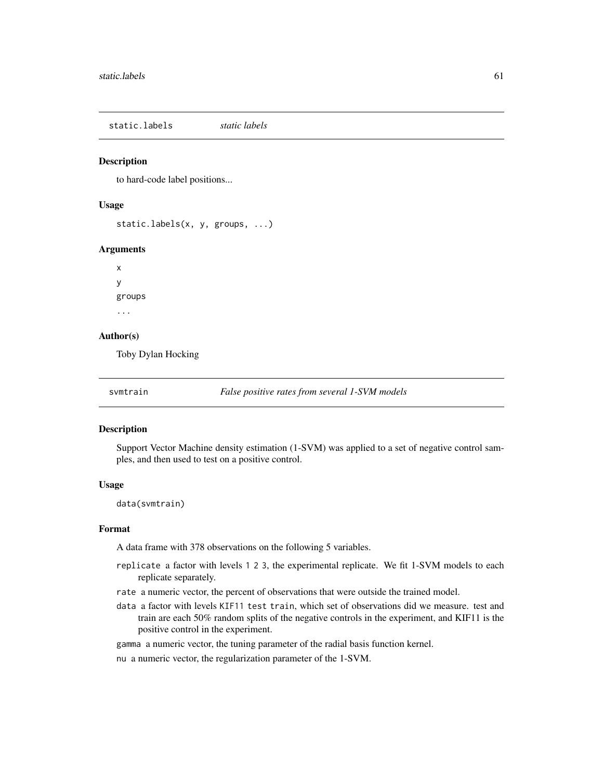<span id="page-60-0"></span>static.labels *static labels*

### Description

to hard-code label positions...

#### Usage

static.labels(x, y, groups, ...)

#### Arguments

x y groups ...

### Author(s)

Toby Dylan Hocking

svmtrain *False positive rates from several 1-SVM models*

#### Description

Support Vector Machine density estimation (1-SVM) was applied to a set of negative control samples, and then used to test on a positive control.

#### Usage

data(svmtrain)

#### Format

A data frame with 378 observations on the following 5 variables.

- replicate a factor with levels 1 2 3, the experimental replicate. We fit 1-SVM models to each replicate separately.
- rate a numeric vector, the percent of observations that were outside the trained model.
- data a factor with levels KIF11 test train, which set of observations did we measure. test and train are each 50% random splits of the negative controls in the experiment, and KIF11 is the positive control in the experiment.
- gamma a numeric vector, the tuning parameter of the radial basis function kernel.
- nu a numeric vector, the regularization parameter of the 1-SVM.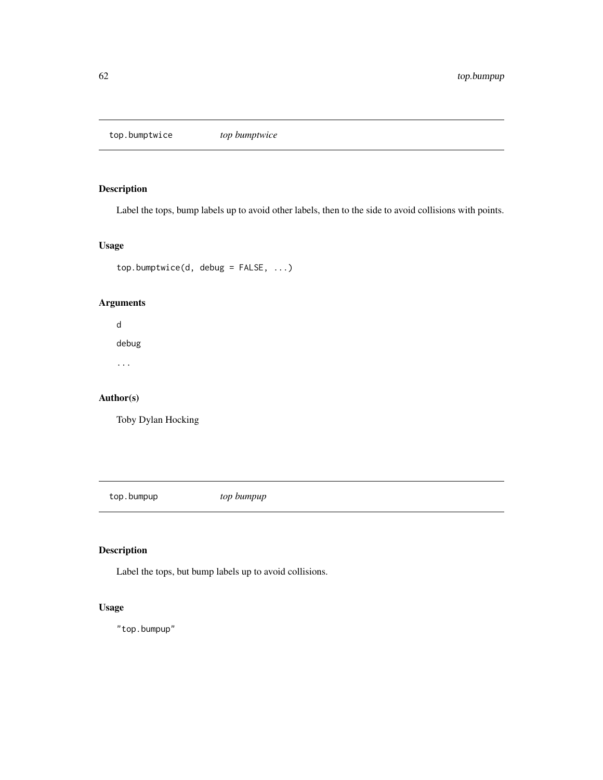<span id="page-61-0"></span>top.bumptwice *top bumptwice*

### Description

Label the tops, bump labels up to avoid other labels, then to the side to avoid collisions with points.

### Usage

top.bumptwice(d, debug = FALSE, ...)

### Arguments

d debug ...

Author(s)

Toby Dylan Hocking

top.bumpup *top bumpup*

### Description

Label the tops, but bump labels up to avoid collisions.

### Usage

"top.bumpup"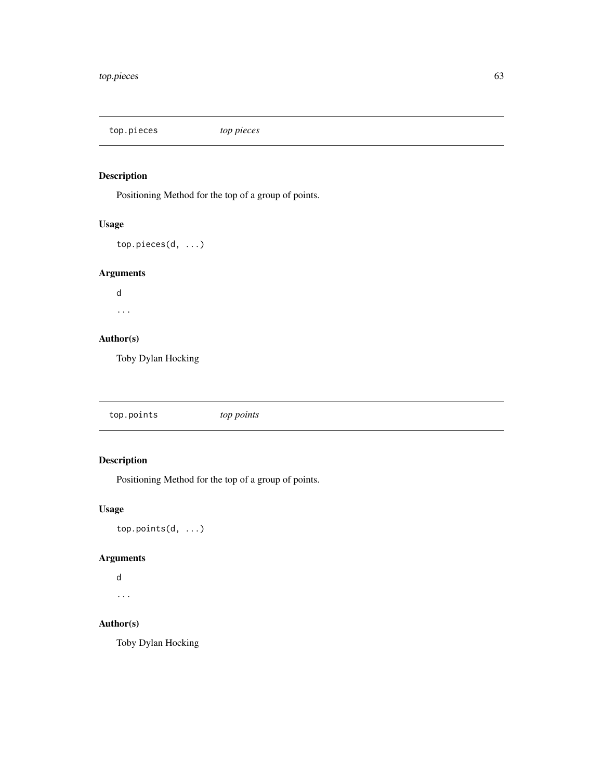<span id="page-62-0"></span>top.pieces *top pieces*

### Description

Positioning Method for the top of a group of points.

### Usage

```
top.pieces(d, ...)
```
### Arguments

d ...

### Author(s)

Toby Dylan Hocking

top.points *top points*

### Description

Positioning Method for the top of a group of points.

### Usage

top.points(d, ...)

### Arguments

```
d
...
```
### Author(s)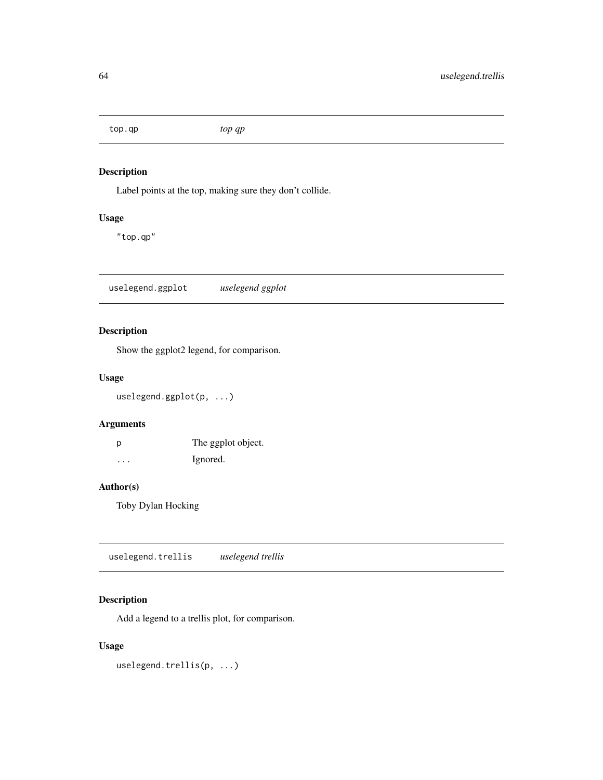<span id="page-63-0"></span>top.qp *top qp*

### Description

Label points at the top, making sure they don't collide.

### Usage

"top.qp"

uselegend.ggplot *uselegend ggplot*

### Description

Show the ggplot2 legend, for comparison.

### Usage

uselegend.ggplot(p, ...)

### Arguments

| p                 | The ggplot object. |
|-------------------|--------------------|
| $\cdot\cdot\cdot$ | Ignored.           |

### Author(s)

Toby Dylan Hocking

uselegend.trellis *uselegend trellis*

### Description

Add a legend to a trellis plot, for comparison.

### Usage

uselegend.trellis(p, ...)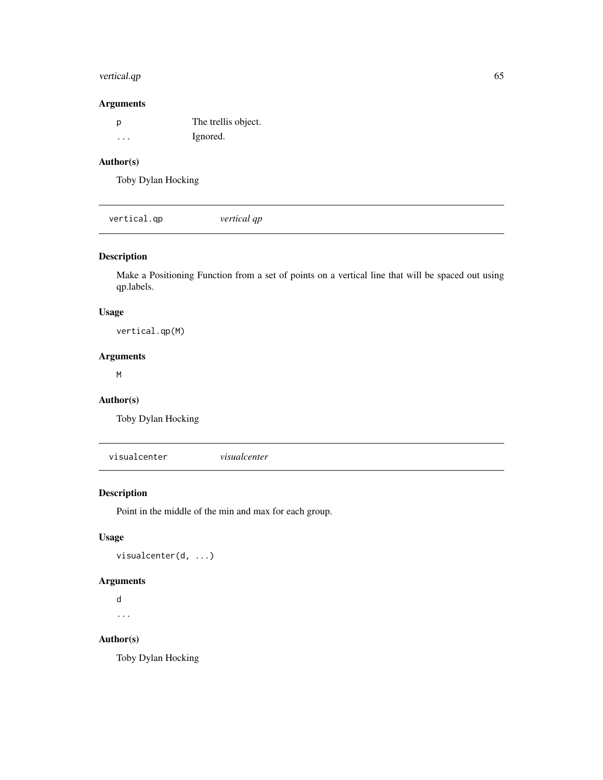### <span id="page-64-0"></span>vertical.qp 65

### Arguments

| D       | The trellis object. |
|---------|---------------------|
| $\cdot$ | Ignored.            |

### Author(s)

Toby Dylan Hocking

vertical.qp *vertical qp*

### Description

Make a Positioning Function from a set of points on a vertical line that will be spaced out using qp.labels.

#### Usage

vertical.qp(M)

### Arguments

M

### Author(s)

Toby Dylan Hocking

visualcenter *visualcenter*

### Description

Point in the middle of the min and max for each group.

### Usage

visualcenter(d, ...)

### Arguments

d ...

### Author(s)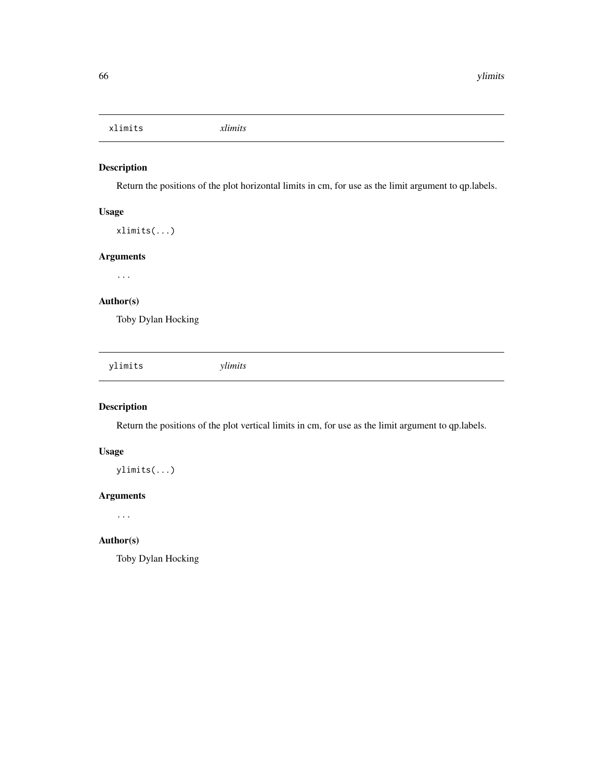<span id="page-65-0"></span>xlimits *xlimits*

### Description

Return the positions of the plot horizontal limits in cm, for use as the limit argument to qp.labels.

### Usage

xlimits(...)

### Arguments

...

### Author(s)

Toby Dylan Hocking

ylimits *ylimits*

### Description

Return the positions of the plot vertical limits in cm, for use as the limit argument to qp.labels.

### Usage

ylimits(...)

### Arguments

...

#### Author(s)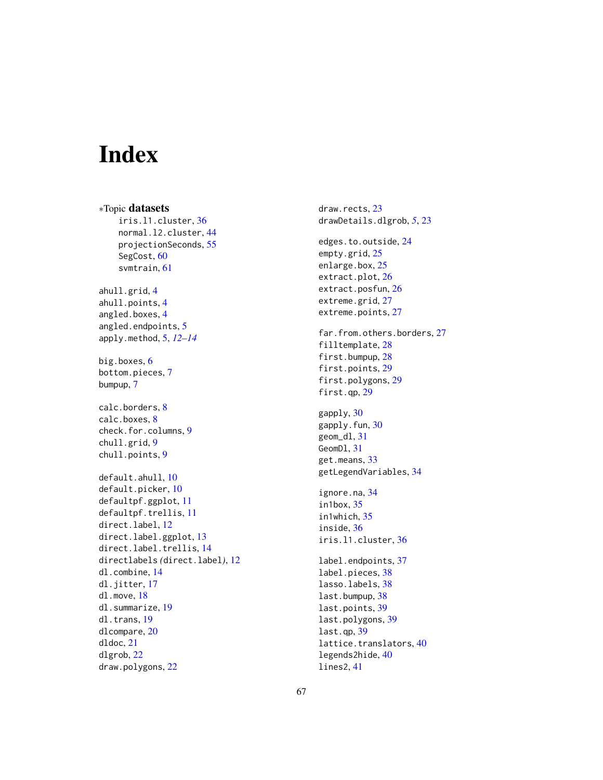# <span id="page-66-0"></span>Index

∗Topic datasets iris.l1.cluster , [36](#page-35-0) normal.l2.cluster , [44](#page-43-0) projectionSeconds , [55](#page-54-0) SegCost, [60](#page-59-0) svmtrain , [61](#page-60-0) ahull.grid, [4](#page-3-0) ahull.points , [4](#page-3-0) angled.boxes , [4](#page-3-0) angled.endpoints , [5](#page-4-0) apply.method , [5](#page-4-0) , *[12](#page-11-0) [–14](#page-13-0)* big.boxes, [6](#page-5-0) bottom.pieces , [7](#page-6-0) bumpup , [7](#page-6-0) calc.borders, [8](#page-7-0) calc.boxes, [8](#page-7-0) check.for.columns , [9](#page-8-0) chull.grid , [9](#page-8-0) chull.points , [9](#page-8-0) default.ahull , [10](#page-9-0) default.picker , [10](#page-9-0) defaultpf.ggplot , [11](#page-10-0) defaultpf.trellis , [11](#page-10-0) direct.label, [12](#page-11-0) direct.label.ggplot, [13](#page-12-0) direct.label.trellis, [14](#page-13-0) directlabels *(*direct.label *)* , [12](#page-11-0) dl.combine , [14](#page-13-0) dl.jitter,[17](#page-16-0) dl.move , [18](#page-17-0) dl.summarize, <mark>[19](#page-18-0)</mark> dl.trans , [19](#page-18-0) dlcompare , [20](#page-19-0) dldoc , [21](#page-20-0) dlgrob , [22](#page-21-0) draw.polygons , [22](#page-21-0)

draw.rects, [23](#page-22-0) drawDetails.dlgrob , *[5](#page-4-0)* , [23](#page-22-0) edges.to.outside , [24](#page-23-0) empty.grid, [25](#page-24-0) enlarge.box, [25](#page-24-0) extract.plot, [26](#page-25-0) extract.posfun , [26](#page-25-0) extreme.grid, [27](#page-26-0) extreme.points, [27](#page-26-0) far.from.others.borders , [27](#page-26-0) filltemplate, [28](#page-27-0) first.bumpup, [28](#page-27-0) first.points , [29](#page-28-0) first.polygons , [29](#page-28-0) first.qp , [29](#page-28-0) gapply, [30](#page-29-0) gapply.fun, [30](#page-29-0) geom\_dl , [31](#page-30-0) GeomD1, [31](#page-30-0) get.means , [33](#page-32-0) getLegendVariables , [34](#page-33-0) ignore.na , [34](#page-33-0) in1box , [35](#page-34-0) in1which , [35](#page-34-0) inside , [36](#page-35-0) iris.l1.cluster , [36](#page-35-0) label.endpoints , [37](#page-36-0) label.pieces, [38](#page-37-0) lasso.labels, [38](#page-37-0) last.bumpup, [38](#page-37-0) last.points, [39](#page-38-0) last.polygons, [39](#page-38-0) last.qp , [39](#page-38-0) lattice.translators, [40](#page-39-0) legends2hide , [40](#page-39-0) lines2 , [41](#page-40-0)